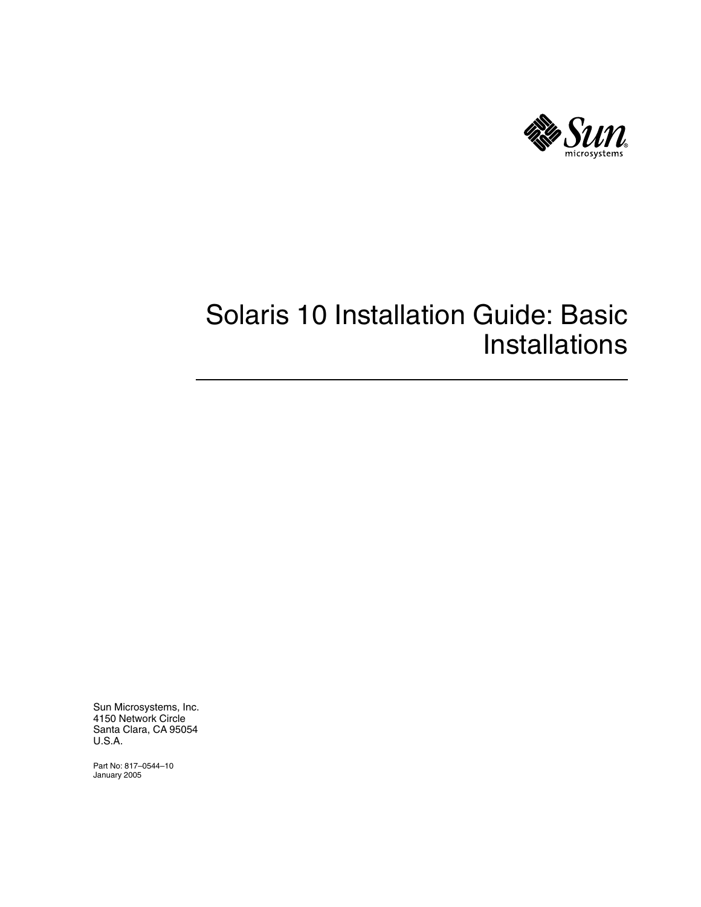

# Solaris 10 Installation Guide: Basic Installations

Sun Microsystems, Inc. 4150 Network Circle Santa Clara, CA 95054 U.S.A.

Part No: 817–0544–10 January 2005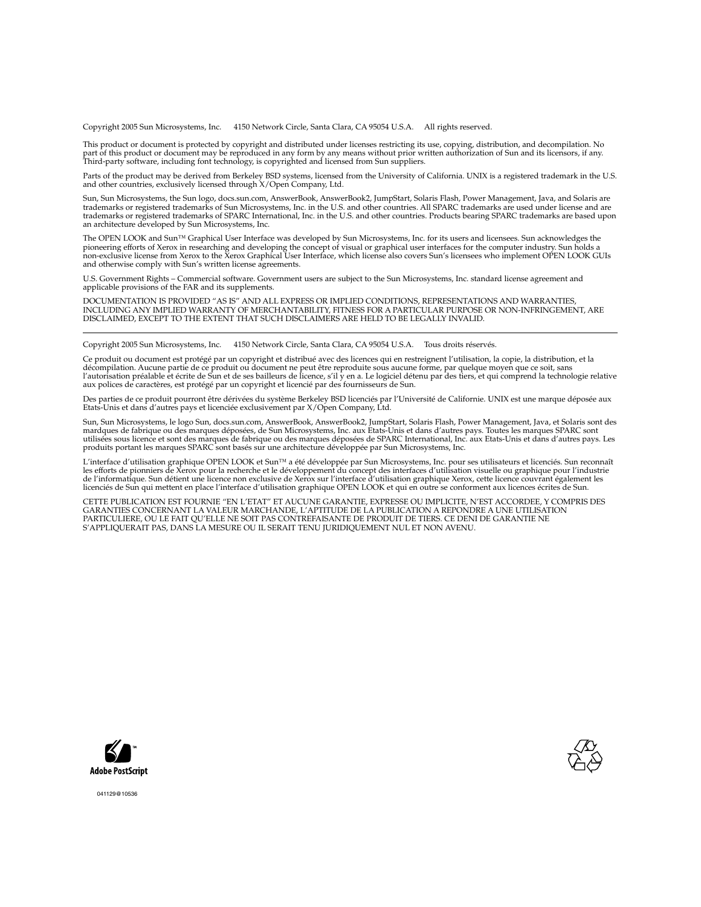Copyright 2005 Sun Microsystems, Inc. 4150 Network Circle, Santa Clara, CA 95054 U.S.A. All rights reserved.

This product or document is protected by copyright and distributed under licenses restricting its use, copying, distribution, and decompilation. No part of this product or document may be reproduced in any form by any means without prior written authorization of Sun and its licensors, if any.<br>Third-party software, including font technology, is copyrighted and licensed

Parts of the product may be derived from Berkeley BSD systems, licensed from the University of California. UNIX is a registered trademark in the U.S. and other countries, exclusively licensed through X/Open Company, Ltd.

Sun, Sun Microsystems, the Sun logo, docs.sun.com, AnswerBook, AnswerBook2, JumpStart, Solaris Flash, Power Management, Java, and Solaris are<br>trademarks or registered trademarks of Sun Microsystems, Inc. in the U.S. and ot an architecture developed by Sun Microsystems, Inc.

The OPEN LOOK and Sun™ Graphical User Interface was developed by Sun Microsystems, Inc. for its users and licensees. Sun acknowledges the pioneering efforts of Xerox in researching and developing the concept of visual or graphical user interfaces for the computer industry. Sun holds a<br>non-exclusive license from Xerox to the Xerox Graphical User Interface, wh and otherwise comply with Sun's written license agreements.

U.S. Government Rights – Commercial software. Government users are subject to the Sun Microsystems, Inc. standard license agreement and applicable provisions of the FAR and its supplements.

DOCUMENTATION IS PROVIDED "AS IS" AND ALL EXPRESS OR IMPLIED CONDITIONS, REPRESENTATIONS AND WARRANTIES,<br>INCLUDING ANY IMPLIED WARRANTY OF MERCHANTABILITY, FITNESS FOR A PARTICULAR PURPOSE OR NON-INFRINGEMENT, ARE<br>DISCLAIM

Copyright 2005 Sun Microsystems, Inc. 4150 Network Circle, Santa Clara, CA 95054 U.S.A. Tous droits réservés.

Ce produit ou document est protégé par un copyright et distribué avec des licences qui en restreignent l'utilisation, la copie, la distribution, et la décompilation. Aucune partie de ce produit ou document ne peut être reproduite sous aucune forme, par quelque moyen que ce soit, sans<br>l'autorisation préalable et écrite de Sun et de ses bailleurs de licence, s'il y en a. L

Des parties de ce produit pourront être dérivées du système Berkeley BSD licenciés par l'Université de Californie. UNIX est une marque déposée aux Etats-Unis et dans d'autres pays et licenciée exclusivement par X/Open Company, Ltd.

Sun, Sun Microsystems, le logo Sun, docs.sun.com, AnswerBook, AnswerBook2, JumpStart, Solaris Flash, Power Management, Java, et Solaris sont des<br>mardques de fabrique ou des marques déposées, de Sun Microsystems, Inc. aux E produits portant les marques SPARC sont basés sur une architecture développée par Sun Microsystems, Inc.

L'interface d'utilisation graphique OPEN LOOK et Sun™a été développée par Sun Microsystems, Inc. pour ses utilisateurs et licenciés. Sun reconnaît<br>les efforts de pionniers de Xerox pour la recherche et le développement du de l'informatique. Sun détient une licence non exclusive de Xerox sur l'interface d'utilisation graphique Xerox, cette licence couvrant également les<br>licenciés de Sun qui mettent en place l'interface d'utilisation graphiqu

CETTE PUBLICATION EST FOURNIE "EN L'ETAT" ET AUCUNE GARANTIE, EXPRESSE OU IMPLICITE, N'EST ACCORDEE, Y COMPRIS DES GARANTIES CONCERNANT LA VALEUR MARCHANDE, L'APTITUDE DE LA PUBLICATION A REPONDRE A UNE UTILISATION<br>PARTICULIERE, OU LE FAIT QU'ELLE NE SOIT PAS CONTREFAISANTE DE PRODUIT DE TIERS. CE DENI DE GARANTIE NE<br>S'APPLIQUERAIT PAS





041129@10536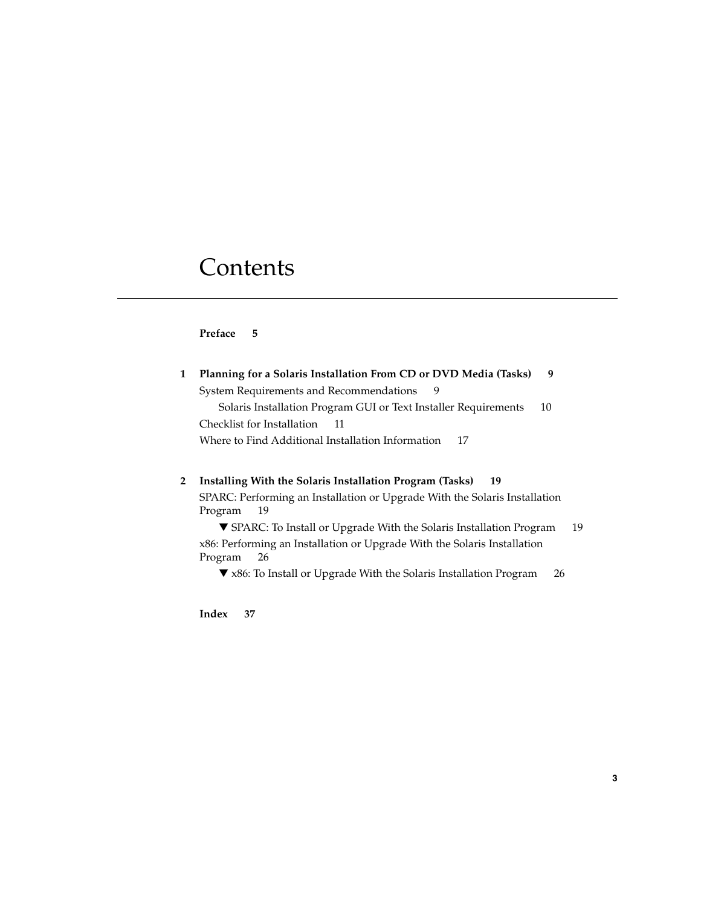# **Contents**

## **[Preface 5](#page-4-0)**

| Planning for a Solaris Installation From CD or DVD Media (Tasks)<br>-9 |    |  |  |  |
|------------------------------------------------------------------------|----|--|--|--|
| System Requirements and Recommendations                                |    |  |  |  |
| Solaris Installation Program GUI or Text Installer Requirements        | 10 |  |  |  |
| Checklist for Installation<br>- 11                                     |    |  |  |  |
| Where to Find Additional Installation Information<br>-17               |    |  |  |  |
|                                                                        |    |  |  |  |

## **[2 Installing With the Solaris Installation Program \(Tasks\) 19](#page-18-0)**

[SPARC: Performing an Installation or Upgrade With the Solaris Installation](#page-18-0) [Program 19](#page-18-0)

▼ [SPARC: To Install or Upgrade With the Solaris Installation Program 19](#page-18-0) [x86: Performing an Installation or Upgrade With the Solaris Installation](#page-25-0) [Program 26](#page-25-0)

▼ [x86: To Install or Upgrade With the Solaris Installation Program 26](#page-25-0)

**[Index 37](#page-36-0)**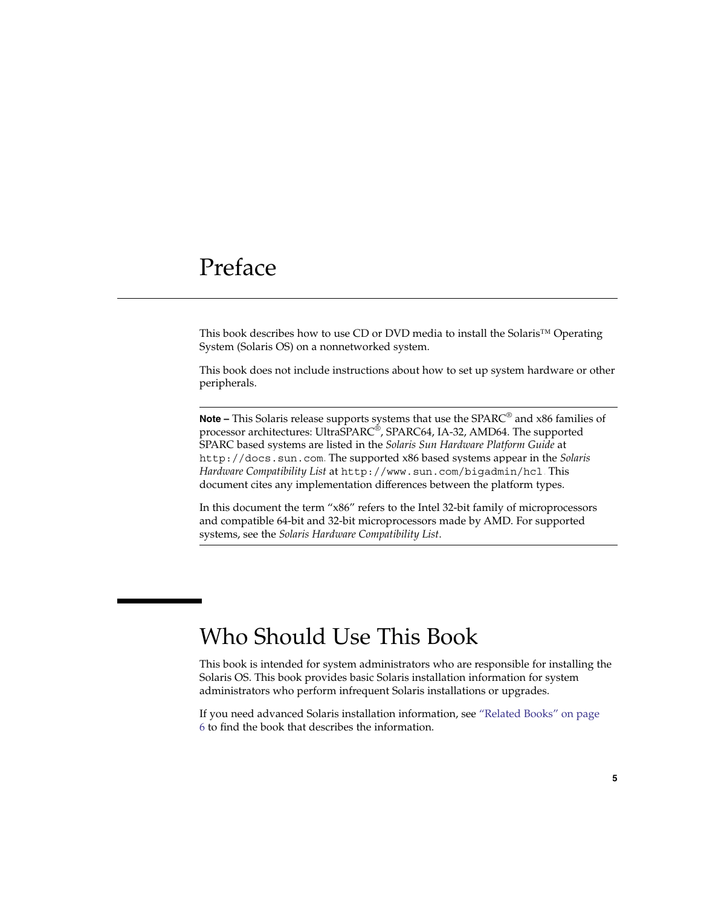# <span id="page-4-0"></span>Preface

This book describes how to use CD or DVD media to install the Solaris™ Operating System (Solaris OS) on a nonnetworked system.

This book does not include instructions about how to set up system hardware or other peripherals.

**Note –** This Solaris release supports systems that use the SPARC® and x86 families of processor architectures: UltraSPARC®, SPARC64, IA-32, AMD64. The supported SPARC based systems are listed in the *Solaris Sun Hardware Platform Guide* at <http://docs.sun.com>. The supported x86 based systems appear in the *Solaris Hardware Compatibility List* at <http://www.sun.com/bigadmin/hcl>. This document cites any implementation differences between the platform types.

In this document the term "x86" refers to the Intel 32-bit family of microprocessors and compatible 64-bit and 32-bit microprocessors made by AMD. For supported systems, see the *Solaris Hardware Compatibility List*.

## Who Should Use This Book

This book is intended for system administrators who are responsible for installing the Solaris OS. This book provides basic Solaris installation information for system administrators who perform infrequent Solaris installations or upgrades.

If you need advanced Solaris installation information, see ["Related Books"](#page-5-0) on page [6](#page-5-0) to find the book that describes the information.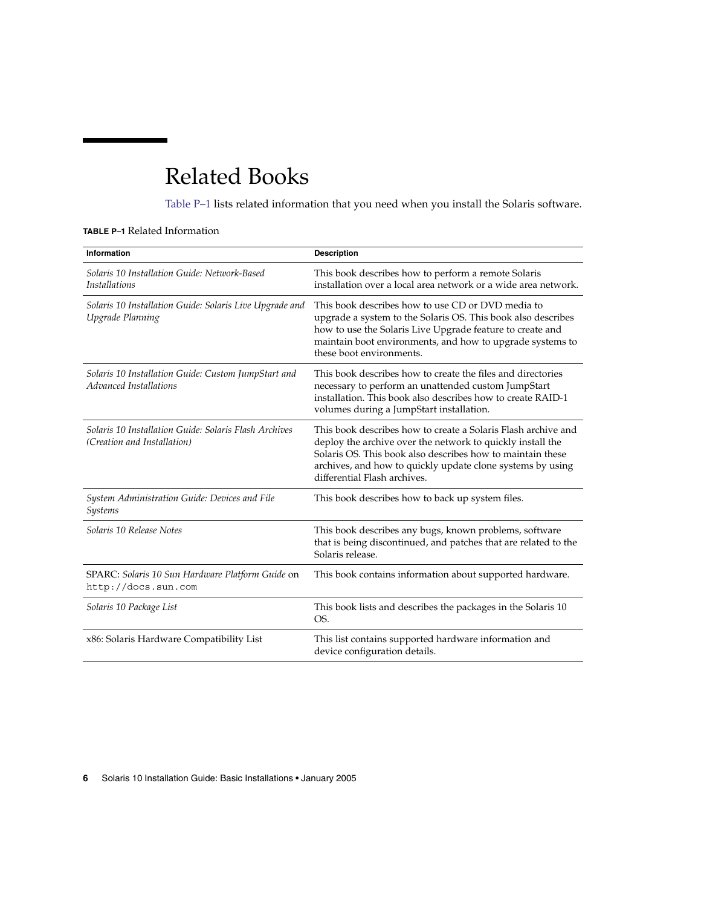# <span id="page-5-0"></span>Related Books

Table P–1 lists related information that you need when you install the Solaris software.

## **TABLE P–1** Related Information

| <b>Information</b>                                                                   | <b>Description</b>                                                                                                                                                                                                                                                                      |
|--------------------------------------------------------------------------------------|-----------------------------------------------------------------------------------------------------------------------------------------------------------------------------------------------------------------------------------------------------------------------------------------|
| Solaris 10 Installation Guide: Network-Based<br><i>Installations</i>                 | This book describes how to perform a remote Solaris<br>installation over a local area network or a wide area network.                                                                                                                                                                   |
| Solaris 10 Installation Guide: Solaris Live Upgrade and<br>Upgrade Planning          | This book describes how to use CD or DVD media to<br>upgrade a system to the Solaris OS. This book also describes<br>how to use the Solaris Live Upgrade feature to create and<br>maintain boot environments, and how to upgrade systems to<br>these boot environments.                 |
| Solaris 10 Installation Guide: Custom JumpStart and<br>Advanced Installations        | This book describes how to create the files and directories<br>necessary to perform an unattended custom JumpStart<br>installation. This book also describes how to create RAID-1<br>volumes during a JumpStart installation.                                                           |
| Solaris 10 Installation Guide: Solaris Flash Archives<br>(Creation and Installation) | This book describes how to create a Solaris Flash archive and<br>deploy the archive over the network to quickly install the<br>Solaris OS. This book also describes how to maintain these<br>archives, and how to quickly update clone systems by using<br>differential Flash archives. |
| System Administration Guide: Devices and File<br>Systems                             | This book describes how to back up system files.                                                                                                                                                                                                                                        |
| Solaris 10 Release Notes                                                             | This book describes any bugs, known problems, software<br>that is being discontinued, and patches that are related to the<br>Solaris release.                                                                                                                                           |
| SPARC: Solaris 10 Sun Hardware Platform Guide on<br>http://docs.sun.com              | This book contains information about supported hardware.                                                                                                                                                                                                                                |
| Solaris 10 Package List                                                              | This book lists and describes the packages in the Solaris 10<br>OS.                                                                                                                                                                                                                     |
| x86: Solaris Hardware Compatibility List                                             | This list contains supported hardware information and<br>device configuration details.                                                                                                                                                                                                  |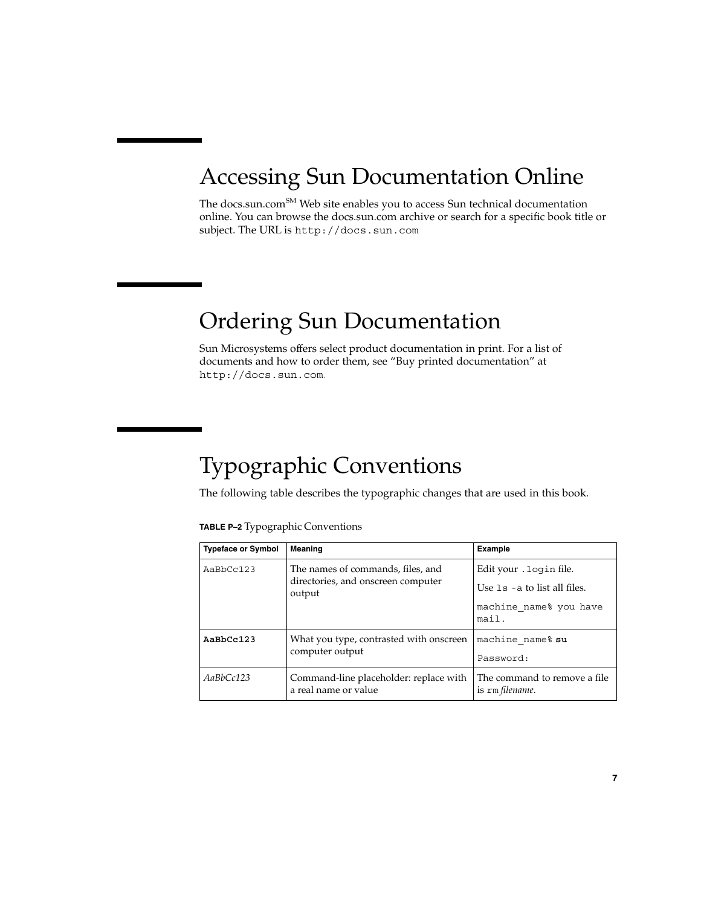# Accessing Sun Documentation Online

The docs.sun.com<sup>SM</sup> Web site enables you to access Sun technical documentation online. You can browse the docs.sun.com archive or search for a specific book title or subject. The URL is <http://docs.sun.com>.

# Ordering Sun Documentation

Sun Microsystems offers select product documentation in print. For a list of documents and how to order them, see "Buy printed documentation" at <http://docs.sun.com>.

# Typographic Conventions

The following table describes the typographic changes that are used in this book.

### **TABLE P–2** Typographic Conventions

| <b>Typeface or Symbol</b> | Meaning                                                                           | <b>Example</b>                                             |
|---------------------------|-----------------------------------------------------------------------------------|------------------------------------------------------------|
| AaBbCc123                 | The names of commands, files, and<br>directories, and onscreen computer<br>output | Edit your . login file.<br>Use $1s$ - a to list all files. |
|                           |                                                                                   | machine name% you have<br>mail.                            |
| AaBbCc123                 | What you type, contrasted with onscreen                                           | machine name% su                                           |
|                           | computer output                                                                   | Password:                                                  |
| AaBbCc123                 | Command-line placeholder: replace with<br>a real name or value                    | The command to remove a file.<br>is rm filename.           |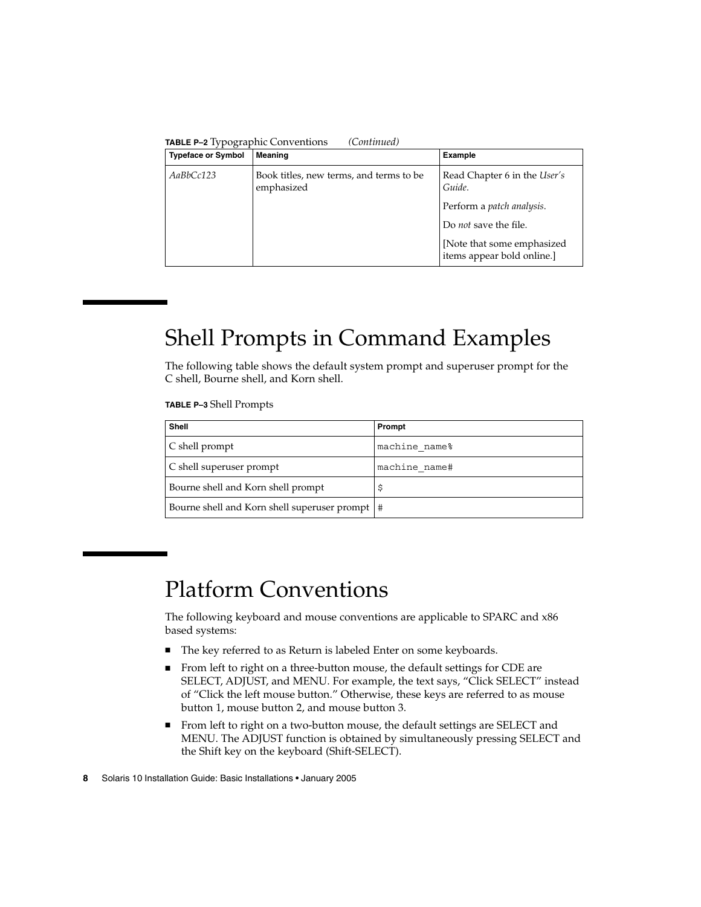| <b>Typeface or Symbol</b> | Meaning                                               | <b>Example</b>                                                                                                                                                                  |
|---------------------------|-------------------------------------------------------|---------------------------------------------------------------------------------------------------------------------------------------------------------------------------------|
| AaBbCc123                 | Book titles, new terms, and terms to be<br>emphasized | Read Chapter 6 in the <i>User's</i><br>Guide.<br>Perform a <i>patch analysis</i> .<br>Do <i>not</i> save the file.<br>[Note that some emphasized]<br>items appear bold online.] |

# Shell Prompts in Command Examples

The following table shows the default system prompt and superuser prompt for the C shell, Bourne shell, and Korn shell.

**TABLE P–3** Shell Prompts

| <b>Shell</b>                                     | Prompt        |
|--------------------------------------------------|---------------|
| C shell prompt                                   | machine name% |
| C shell superuser prompt                         | machine name# |
| Bourne shell and Korn shell prompt               |               |
| Bourne shell and Korn shell superuser prompt   # |               |

# Platform Conventions

The following keyboard and mouse conventions are applicable to SPARC and x86 based systems:

- The key referred to as Return is labeled Enter on some keyboards.
- From left to right on a three-button mouse, the default settings for CDE are SELECT, ADJUST, and MENU. For example, the text says, "Click SELECT" instead of "Click the left mouse button." Otherwise, these keys are referred to as mouse button 1, mouse button 2, and mouse button 3.
- From left to right on a two-button mouse, the default settings are SELECT and MENU. The ADJUST function is obtained by simultaneously pressing SELECT and the Shift key on the keyboard (Shift-SELECT).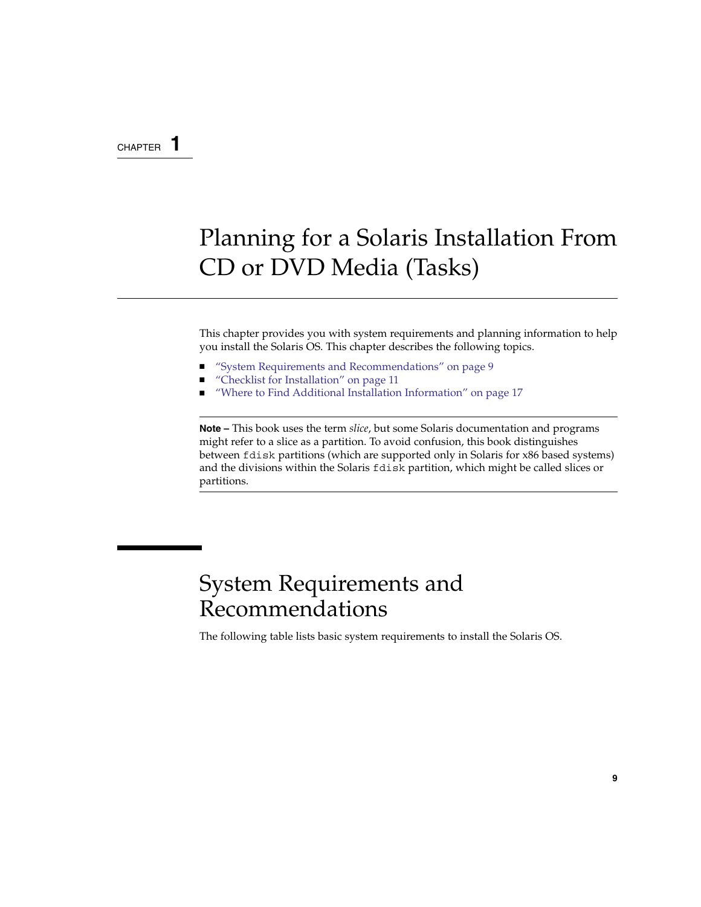## <span id="page-8-0"></span>CHAPTER **1**

# Planning for a Solaris Installation From CD or DVD Media (Tasks)

This chapter provides you with system requirements and planning information to help you install the Solaris OS. This chapter describes the following topics.

- "System Requirements and Recommendations" on page 9
- ["Checklist for Installation"](#page-10-0) on page 11
- ["Where to Find Additional Installation Information"](#page-16-0) on page 17

**Note –** This book uses the term *slice*, but some Solaris documentation and programs might refer to a slice as a partition. To avoid confusion, this book distinguishes between fdisk partitions (which are supported only in Solaris for x86 based systems) and the divisions within the Solaris fdisk partition, which might be called slices or partitions.

# System Requirements and Recommendations

The following table lists basic system requirements to install the Solaris OS.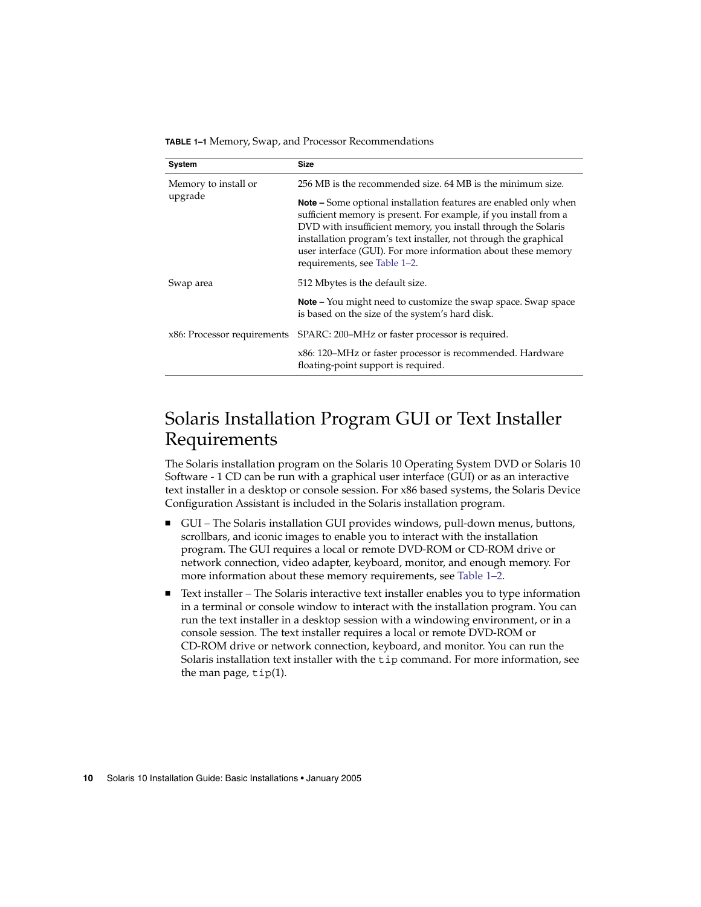<span id="page-9-0"></span>**TABLE 1–1** Memory, Swap, and Processor Recommendations

| System                      | <b>Size</b>                                                                                                                                                                                                                                                                                                                                                                       |
|-----------------------------|-----------------------------------------------------------------------------------------------------------------------------------------------------------------------------------------------------------------------------------------------------------------------------------------------------------------------------------------------------------------------------------|
| Memory to install or        | 256 MB is the recommended size, 64 MB is the minimum size.                                                                                                                                                                                                                                                                                                                        |
| upgrade                     | <b>Note –</b> Some optional installation features are enabled only when<br>sufficient memory is present. For example, if you install from a<br>DVD with insufficient memory, you install through the Solaris<br>installation program's text installer, not through the graphical<br>user interface (GUI). For more information about these memory<br>requirements, see Table 1-2. |
| Swap area                   | 512 Mbytes is the default size.                                                                                                                                                                                                                                                                                                                                                   |
|                             | <b>Note –</b> You might need to customize the swap space. Swap space<br>is based on the size of the system's hard disk.                                                                                                                                                                                                                                                           |
| x86: Processor requirements | SPARC: 200-MHz or faster processor is required.                                                                                                                                                                                                                                                                                                                                   |
|                             | x86: 120-MHz or faster processor is recommended. Hardware<br>floating-point support is required.                                                                                                                                                                                                                                                                                  |

## Solaris Installation Program GUI or Text Installer Requirements

The Solaris installation program on the Solaris 10 Operating System DVD or Solaris 10 Software - 1 CD can be run with a graphical user interface (GUI) or as an interactive text installer in a desktop or console session. For x86 based systems, the Solaris Device Configuration Assistant is included in the Solaris installation program.

- GUI The Solaris installation GUI provides windows, pull-down menus, buttons, scrollbars, and iconic images to enable you to interact with the installation program. The GUI requires a local or remote DVD-ROM or CD-ROM drive or network connection, video adapter, keyboard, monitor, and enough memory. For more information about these memory requirements, see [Table 1–2.](#page-10-0)
- Text installer The Solaris interactive text installer enables you to type information in a terminal or console window to interact with the installation program. You can run the text installer in a desktop session with a windowing environment, or in a console session. The text installer requires a local or remote DVD-ROM or CD-ROM drive or network connection, keyboard, and monitor. You can run the Solaris installation text installer with the tip command. For more information, see the man page,  $\tt tip(1)$ .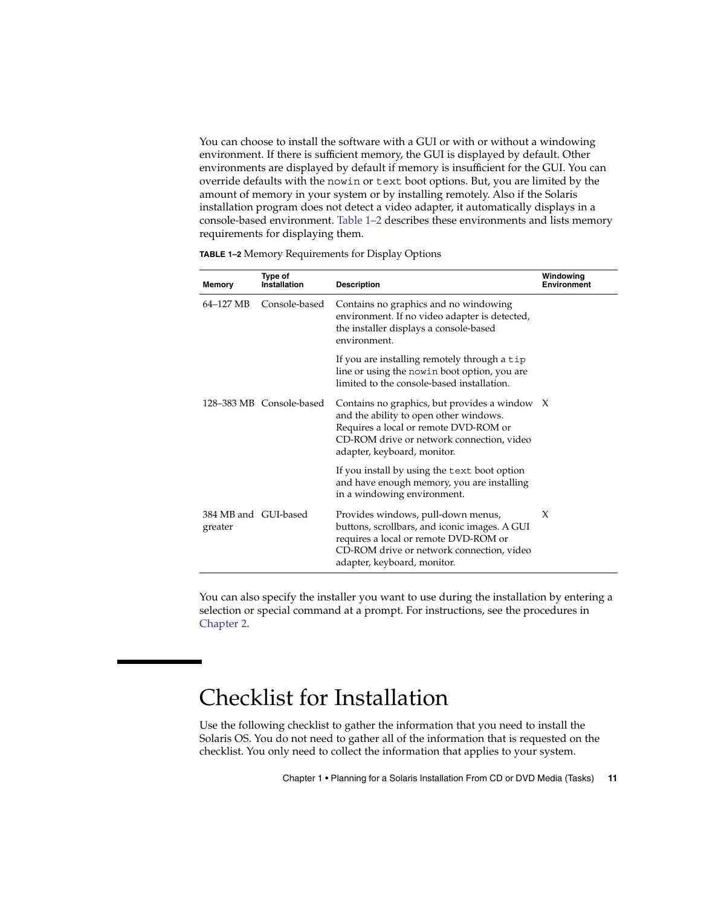<span id="page-10-0"></span>You can choose to install the software with a GUI or with or without a windowing environment. If there is sufficient memory, the GUI is displayed by default. Other environments are displayed by default if memory is insufficient for the GUI. You can override defaults with the nowin or text boot options. But, you are limited by the amount of memory in your system or by installing remotely. Also if the Solaris installation program does not detect a video adapter, it automatically displays in a console-based environment. Table 1–2 describes these environments and lists memory requirements for displaying them.

| Memory                          | <b>Type of</b><br>Installation | <b>Description</b>                                                                                                                                                                                             | Windowing<br><b>Environment</b> |
|---------------------------------|--------------------------------|----------------------------------------------------------------------------------------------------------------------------------------------------------------------------------------------------------------|---------------------------------|
| 64–127 MB                       | Console-based                  | Contains no graphics and no windowing<br>environment. If no video adapter is detected,<br>the installer displays a console-based<br>environment.                                                               |                                 |
|                                 |                                | If you are installing remotely through a tip<br>line or using the nowin boot option, you are<br>limited to the console-based installation.                                                                     |                                 |
|                                 | 128-383 MB Console-based       | Contains no graphics, but provides a window $X$<br>and the ability to open other windows.<br>Requires a local or remote DVD-ROM or<br>CD-ROM drive or network connection, video<br>adapter, keyboard, monitor. |                                 |
|                                 |                                | If you install by using the text boot option<br>and have enough memory, you are installing<br>in a windowing environment.                                                                                      |                                 |
| 384 MB and GUI-based<br>greater |                                | Provides windows, pull-down menus,<br>buttons, scrollbars, and iconic images. A GUI<br>requires a local or remote DVD-ROM or<br>CD-ROM drive or network connection, video<br>adapter, keyboard, monitor.       | X                               |

**TABLE 1–2** Memory Requirements for Display Options

You can also specify the installer you want to use during the installation by entering a selection or special command at a prompt. For instructions, see the procedures in [Chapter 2.](#page-18-0)

# Checklist for Installation

Use the following checklist to gather the information that you need to install the Solaris OS. You do not need to gather all of the information that is requested on the checklist. You only need to collect the information that applies to your system.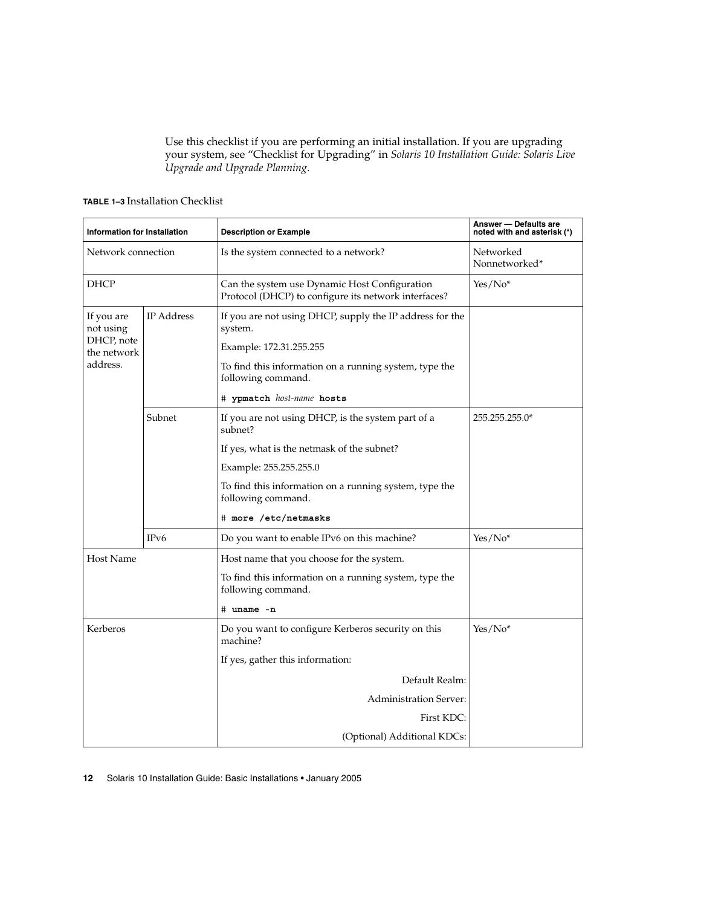Use this checklist if you are performing an initial installation. If you are upgrading your system, see "Checklist for Upgrading" in *Solaris 10 Installation Guide: Solaris Live Upgrade and Upgrade Planning*.

<span id="page-11-0"></span>**TABLE 1–3** Installation Checklist

| Information for Installation |                   | <b>Description or Example</b>                                                                         | Answer - Defaults are<br>noted with and asterisk (*) |
|------------------------------|-------------------|-------------------------------------------------------------------------------------------------------|------------------------------------------------------|
| Network connection           |                   | Is the system connected to a network?                                                                 | Networked<br>Nonnetworked*                           |
| <b>DHCP</b>                  |                   | Can the system use Dynamic Host Configuration<br>Protocol (DHCP) to configure its network interfaces? | Yes/No <sup>*</sup>                                  |
| If you are<br>not using      | <b>IP</b> Address | If you are not using DHCP, supply the IP address for the<br>system.                                   |                                                      |
| DHCP, note<br>the network    |                   | Example: 172.31.255.255                                                                               |                                                      |
| address.                     |                   | To find this information on a running system, type the<br>following command.                          |                                                      |
|                              |                   | # ypmatch host-name hosts                                                                             |                                                      |
|                              | Subnet            | If you are not using DHCP, is the system part of a<br>subnet?                                         | 255.255.255.0*                                       |
|                              |                   | If yes, what is the netmask of the subnet?                                                            |                                                      |
|                              |                   | Example: 255.255.255.0                                                                                |                                                      |
|                              |                   | To find this information on a running system, type the<br>following command.                          |                                                      |
|                              |                   | # more /etc/netmasks                                                                                  |                                                      |
|                              | IP <sub>v6</sub>  | Do you want to enable IPv6 on this machine?                                                           | $Yes/No*$                                            |
| <b>Host Name</b>             |                   | Host name that you choose for the system.                                                             |                                                      |
|                              |                   | To find this information on a running system, type the<br>following command.                          |                                                      |
|                              |                   | # uname -n                                                                                            |                                                      |
| Kerberos                     |                   | Do you want to configure Kerberos security on this<br>machine?                                        | $Yes/No*$                                            |
|                              |                   | If yes, gather this information:                                                                      |                                                      |
|                              |                   | Default Realm:                                                                                        |                                                      |
|                              |                   | <b>Administration Server:</b>                                                                         |                                                      |
|                              |                   | First KDC:                                                                                            |                                                      |
|                              |                   | (Optional) Additional KDCs:                                                                           |                                                      |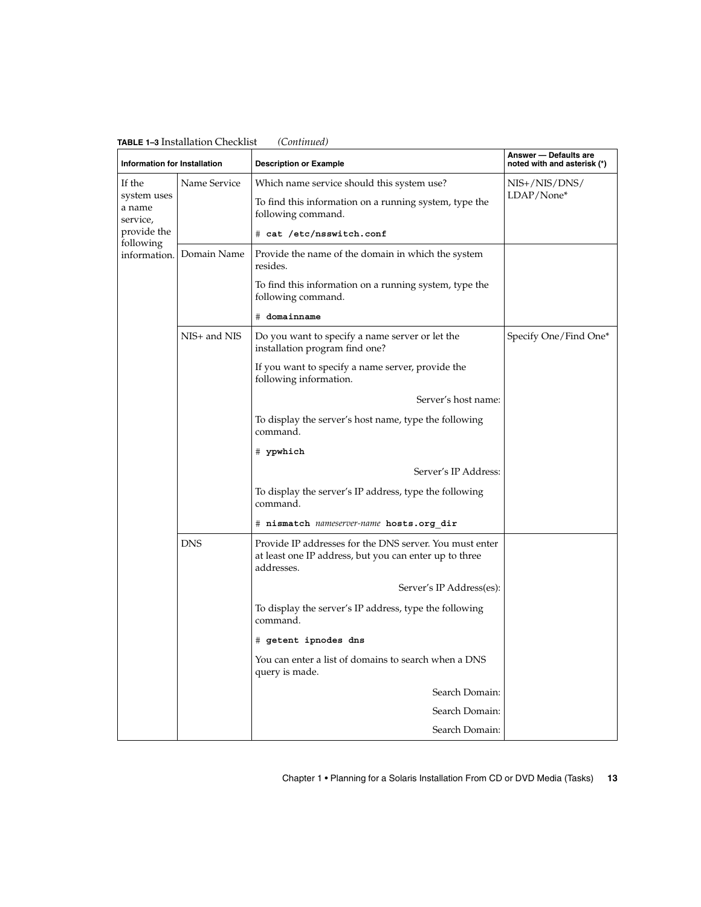<span id="page-12-0"></span>

| <b>ADLE 1-3 INSTANTATION CHECKIIST</b><br><b>Information for Installation</b> |              | $\sqrt{2}$<br><b>Description or Example</b>                                                                                     | Answer - Defaults are<br>noted with and asterisk (*) |
|-------------------------------------------------------------------------------|--------------|---------------------------------------------------------------------------------------------------------------------------------|------------------------------------------------------|
| If the                                                                        | Name Service | Which name service should this system use?                                                                                      | NIS+/NIS/DNS/                                        |
| system uses<br>a name<br>service,                                             |              | To find this information on a running system, type the<br>following command.                                                    | LDAP/None*                                           |
| provide the                                                                   |              | # cat /etc/nsswitch.conf                                                                                                        |                                                      |
| following<br>information.                                                     | Domain Name  | Provide the name of the domain in which the system<br>resides.                                                                  |                                                      |
|                                                                               |              | To find this information on a running system, type the<br>following command.                                                    |                                                      |
|                                                                               |              | # domainname                                                                                                                    |                                                      |
|                                                                               | NIS+ and NIS | Do you want to specify a name server or let the<br>installation program find one?                                               | Specify One/Find One*                                |
|                                                                               |              | If you want to specify a name server, provide the<br>following information.                                                     |                                                      |
|                                                                               |              | Server's host name:                                                                                                             |                                                      |
|                                                                               |              | To display the server's host name, type the following<br>command.                                                               |                                                      |
|                                                                               |              | # ypwhich                                                                                                                       |                                                      |
|                                                                               |              | Server's IP Address:                                                                                                            |                                                      |
|                                                                               |              | To display the server's IP address, type the following<br>command.                                                              |                                                      |
|                                                                               |              | # nismatch nameserver-name hosts.org dir                                                                                        |                                                      |
|                                                                               | <b>DNS</b>   | Provide IP addresses for the DNS server. You must enter<br>at least one IP address, but you can enter up to three<br>addresses. |                                                      |
|                                                                               |              | Server's IP Address(es):                                                                                                        |                                                      |
|                                                                               |              | To display the server's IP address, type the following<br>command.                                                              |                                                      |
|                                                                               |              | # getent ipnodes dns                                                                                                            |                                                      |
|                                                                               |              | You can enter a list of domains to search when a DNS<br>query is made.                                                          |                                                      |
|                                                                               |              | Search Domain:                                                                                                                  |                                                      |
|                                                                               |              | Search Domain:                                                                                                                  |                                                      |
|                                                                               |              | Search Domain:                                                                                                                  |                                                      |

Chapter 1 • Planning for a Solaris Installation From CD or DVD Media (Tasks) **13**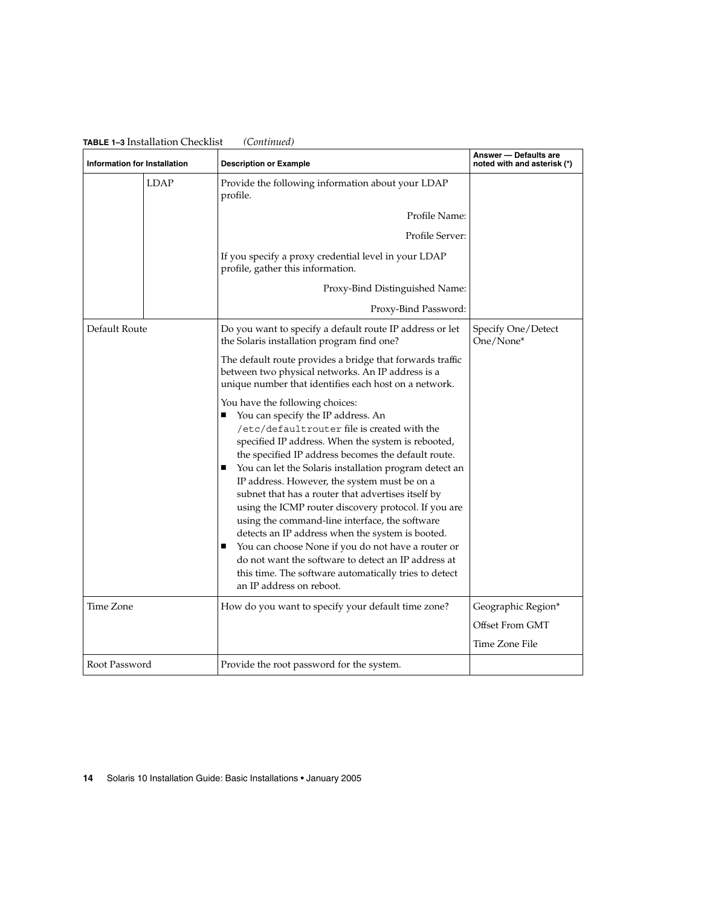| Information for Installation |             | <b>Description or Example</b>                                                                                                                                                                                                                                                                                                                                                                                                                                                                                                                                                                                                                                                                                                                                               | Answer - Defaults are<br>noted with and asterisk (*) |
|------------------------------|-------------|-----------------------------------------------------------------------------------------------------------------------------------------------------------------------------------------------------------------------------------------------------------------------------------------------------------------------------------------------------------------------------------------------------------------------------------------------------------------------------------------------------------------------------------------------------------------------------------------------------------------------------------------------------------------------------------------------------------------------------------------------------------------------------|------------------------------------------------------|
|                              | <b>LDAP</b> | Provide the following information about your LDAP<br>profile.                                                                                                                                                                                                                                                                                                                                                                                                                                                                                                                                                                                                                                                                                                               |                                                      |
|                              |             | Profile Name:                                                                                                                                                                                                                                                                                                                                                                                                                                                                                                                                                                                                                                                                                                                                                               |                                                      |
|                              |             | Profile Server:                                                                                                                                                                                                                                                                                                                                                                                                                                                                                                                                                                                                                                                                                                                                                             |                                                      |
|                              |             | If you specify a proxy credential level in your LDAP<br>profile, gather this information.                                                                                                                                                                                                                                                                                                                                                                                                                                                                                                                                                                                                                                                                                   |                                                      |
|                              |             | Proxy-Bind Distinguished Name:                                                                                                                                                                                                                                                                                                                                                                                                                                                                                                                                                                                                                                                                                                                                              |                                                      |
|                              |             | Proxy-Bind Password:                                                                                                                                                                                                                                                                                                                                                                                                                                                                                                                                                                                                                                                                                                                                                        |                                                      |
| Default Route                |             | Do you want to specify a default route IP address or let<br>the Solaris installation program find one?                                                                                                                                                                                                                                                                                                                                                                                                                                                                                                                                                                                                                                                                      | Specify One/Detect<br>One/None*                      |
|                              |             | The default route provides a bridge that forwards traffic<br>between two physical networks. An IP address is a<br>unique number that identifies each host on a network.                                                                                                                                                                                                                                                                                                                                                                                                                                                                                                                                                                                                     |                                                      |
|                              |             | You have the following choices:<br>You can specify the IP address. An<br>/etc/defaultrouter file is created with the<br>specified IP address. When the system is rebooted,<br>the specified IP address becomes the default route.<br>You can let the Solaris installation program detect an<br>ш<br>IP address. However, the system must be on a<br>subnet that has a router that advertises itself by<br>using the ICMP router discovery protocol. If you are<br>using the command-line interface, the software<br>detects an IP address when the system is booted.<br>You can choose None if you do not have a router or<br>ш<br>do not want the software to detect an IP address at<br>this time. The software automatically tries to detect<br>an IP address on reboot. |                                                      |
| Time Zone                    |             | How do you want to specify your default time zone?                                                                                                                                                                                                                                                                                                                                                                                                                                                                                                                                                                                                                                                                                                                          | Geographic Region*<br>Offset From GMT                |
|                              |             |                                                                                                                                                                                                                                                                                                                                                                                                                                                                                                                                                                                                                                                                                                                                                                             | Time Zone File                                       |
| Root Password                |             | Provide the root password for the system.                                                                                                                                                                                                                                                                                                                                                                                                                                                                                                                                                                                                                                                                                                                                   |                                                      |

<span id="page-13-0"></span>**TABLE 1–3** Installation Checklist *(Continued)*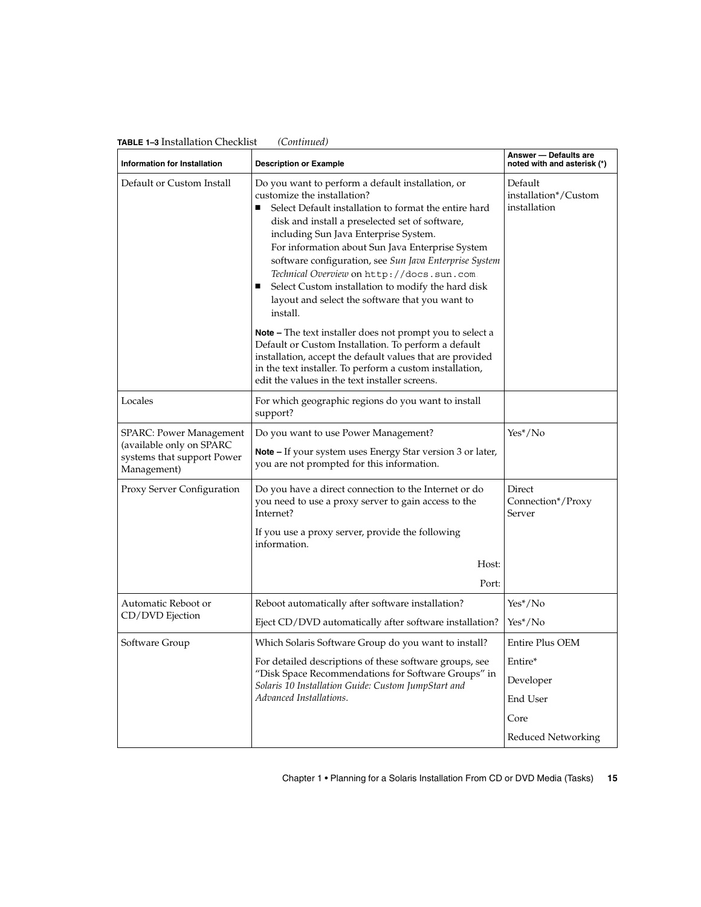<span id="page-14-0"></span>

| Information for Installation                                                                            | <b>Description or Example</b>                                                                                                                                                                                                                                                                                                                                                                                                                                                                                                    | Answer - Defaults are<br>noted with and asterisk (*) |  |
|---------------------------------------------------------------------------------------------------------|----------------------------------------------------------------------------------------------------------------------------------------------------------------------------------------------------------------------------------------------------------------------------------------------------------------------------------------------------------------------------------------------------------------------------------------------------------------------------------------------------------------------------------|------------------------------------------------------|--|
| Default or Custom Install                                                                               | Do you want to perform a default installation, or<br>customize the installation?<br>Select Default installation to format the entire hard<br>п<br>disk and install a preselected set of software,<br>including Sun Java Enterprise System.<br>For information about Sun Java Enterprise System<br>software configuration, see Sun Java Enterprise System<br>Technical Overview on http://docs.sun.com.<br>Select Custom installation to modify the hard disk<br>■<br>layout and select the software that you want to<br>install. | Default<br>installation*/Custom<br>installation      |  |
|                                                                                                         | <b>Note –</b> The text installer does not prompt you to select a<br>Default or Custom Installation. To perform a default<br>installation, accept the default values that are provided<br>in the text installer. To perform a custom installation,<br>edit the values in the text installer screens.                                                                                                                                                                                                                              |                                                      |  |
| Locales                                                                                                 | For which geographic regions do you want to install<br>support?                                                                                                                                                                                                                                                                                                                                                                                                                                                                  |                                                      |  |
| <b>SPARC: Power Management</b><br>(available only on SPARC<br>systems that support Power<br>Management) | Do you want to use Power Management?<br>Note - If your system uses Energy Star version 3 or later,<br>you are not prompted for this information.                                                                                                                                                                                                                                                                                                                                                                                 | $Yes*/No$                                            |  |
| Proxy Server Configuration                                                                              | Do you have a direct connection to the Internet or do<br>you need to use a proxy server to gain access to the<br>Internet?<br>If you use a proxy server, provide the following<br>information.                                                                                                                                                                                                                                                                                                                                   | Direct<br>Connection*/Proxy<br>Server                |  |
|                                                                                                         | Host:                                                                                                                                                                                                                                                                                                                                                                                                                                                                                                                            |                                                      |  |
|                                                                                                         | Port:                                                                                                                                                                                                                                                                                                                                                                                                                                                                                                                            |                                                      |  |
| Automatic Reboot or                                                                                     | Reboot automatically after software installation?                                                                                                                                                                                                                                                                                                                                                                                                                                                                                | $Yes*/No$                                            |  |
| CD/DVD Ejection                                                                                         | Eject CD/DVD automatically after software installation?                                                                                                                                                                                                                                                                                                                                                                                                                                                                          | $Yes*/No$                                            |  |
| Software Group                                                                                          | Which Solaris Software Group do you want to install?                                                                                                                                                                                                                                                                                                                                                                                                                                                                             | <b>Entire Plus OEM</b>                               |  |
|                                                                                                         | For detailed descriptions of these software groups, see                                                                                                                                                                                                                                                                                                                                                                                                                                                                          | Entire*                                              |  |
|                                                                                                         | "Disk Space Recommendations for Software Groups" in<br>Solaris 10 Installation Guide: Custom JumpStart and                                                                                                                                                                                                                                                                                                                                                                                                                       | Developer                                            |  |
|                                                                                                         | Advanced Installations.                                                                                                                                                                                                                                                                                                                                                                                                                                                                                                          | End User                                             |  |
|                                                                                                         |                                                                                                                                                                                                                                                                                                                                                                                                                                                                                                                                  | Core                                                 |  |
|                                                                                                         |                                                                                                                                                                                                                                                                                                                                                                                                                                                                                                                                  | <b>Reduced Networking</b>                            |  |

Chapter 1 • Planning for a Solaris Installation From CD or DVD Media (Tasks) **15**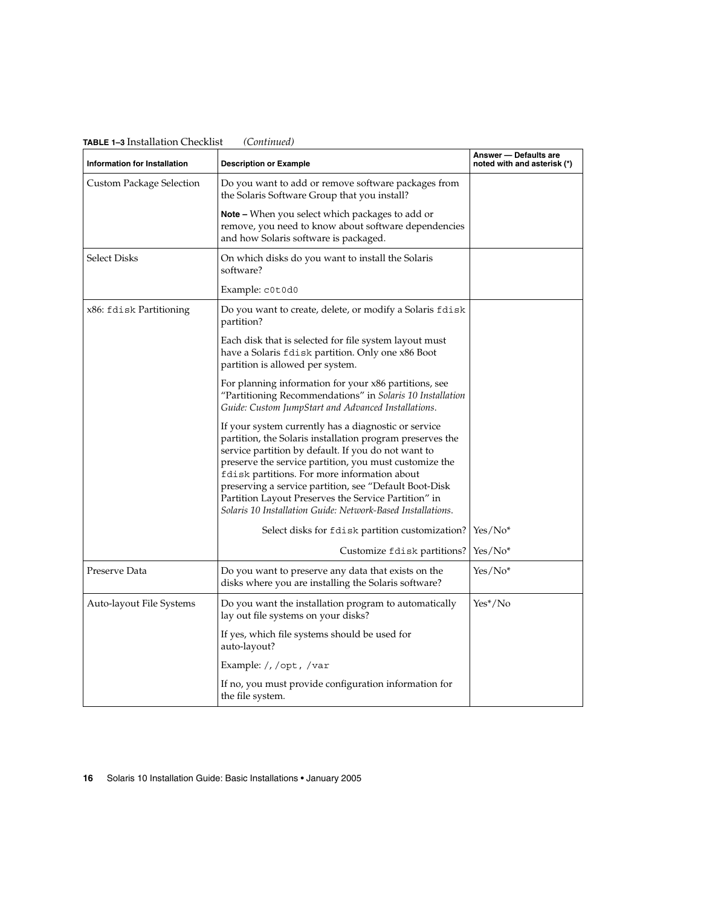| Information for Installation | <b>Description or Example</b>                                                                                                                                                                                                                                                                                                                                                                                                                                        | Answer - Defaults are<br>noted with and asterisk (*) |  |
|------------------------------|----------------------------------------------------------------------------------------------------------------------------------------------------------------------------------------------------------------------------------------------------------------------------------------------------------------------------------------------------------------------------------------------------------------------------------------------------------------------|------------------------------------------------------|--|
| Custom Package Selection     | Do you want to add or remove software packages from<br>the Solaris Software Group that you install?                                                                                                                                                                                                                                                                                                                                                                  |                                                      |  |
|                              | <b>Note</b> – When you select which packages to add or<br>remove, you need to know about software dependencies<br>and how Solaris software is packaged.                                                                                                                                                                                                                                                                                                              |                                                      |  |
| <b>Select Disks</b>          | On which disks do you want to install the Solaris<br>software?                                                                                                                                                                                                                                                                                                                                                                                                       |                                                      |  |
|                              | Example: c0t0d0                                                                                                                                                                                                                                                                                                                                                                                                                                                      |                                                      |  |
| x86: fdisk Partitioning      | Do you want to create, delete, or modify a Solaris fdisk<br>partition?                                                                                                                                                                                                                                                                                                                                                                                               |                                                      |  |
|                              | Each disk that is selected for file system layout must<br>have a Solaris f disk partition. Only one x86 Boot<br>partition is allowed per system.                                                                                                                                                                                                                                                                                                                     |                                                      |  |
|                              | For planning information for your x86 partitions, see<br>"Partitioning Recommendations" in Solaris 10 Installation<br>Guide: Custom JumpStart and Advanced Installations.                                                                                                                                                                                                                                                                                            |                                                      |  |
|                              | If your system currently has a diagnostic or service<br>partition, the Solaris installation program preserves the<br>service partition by default. If you do not want to<br>preserve the service partition, you must customize the<br>fdisk partitions. For more information about<br>preserving a service partition, see "Default Boot-Disk"<br>Partition Layout Preserves the Service Partition" in<br>Solaris 10 Installation Guide: Network-Based Installations. |                                                      |  |
|                              | Select disks for fdisk partition customization?                                                                                                                                                                                                                                                                                                                                                                                                                      | $Yes/No*$                                            |  |
|                              | Customize fdisk partitions?                                                                                                                                                                                                                                                                                                                                                                                                                                          | Yes/No*                                              |  |
| Preserve Data                | Do you want to preserve any data that exists on the<br>disks where you are installing the Solaris software?                                                                                                                                                                                                                                                                                                                                                          | Yes/No*                                              |  |
| Auto-layout File Systems     | Do you want the installation program to automatically<br>lay out file systems on your disks?                                                                                                                                                                                                                                                                                                                                                                         | Yes*/No                                              |  |
|                              | If yes, which file systems should be used for<br>auto-layout?                                                                                                                                                                                                                                                                                                                                                                                                        |                                                      |  |
|                              | Example: /, /opt, /var                                                                                                                                                                                                                                                                                                                                                                                                                                               |                                                      |  |
|                              | If no, you must provide configuration information for<br>the file system.                                                                                                                                                                                                                                                                                                                                                                                            |                                                      |  |

<span id="page-15-0"></span>**TABLE 1–3** Installation Checklist *(Continued)*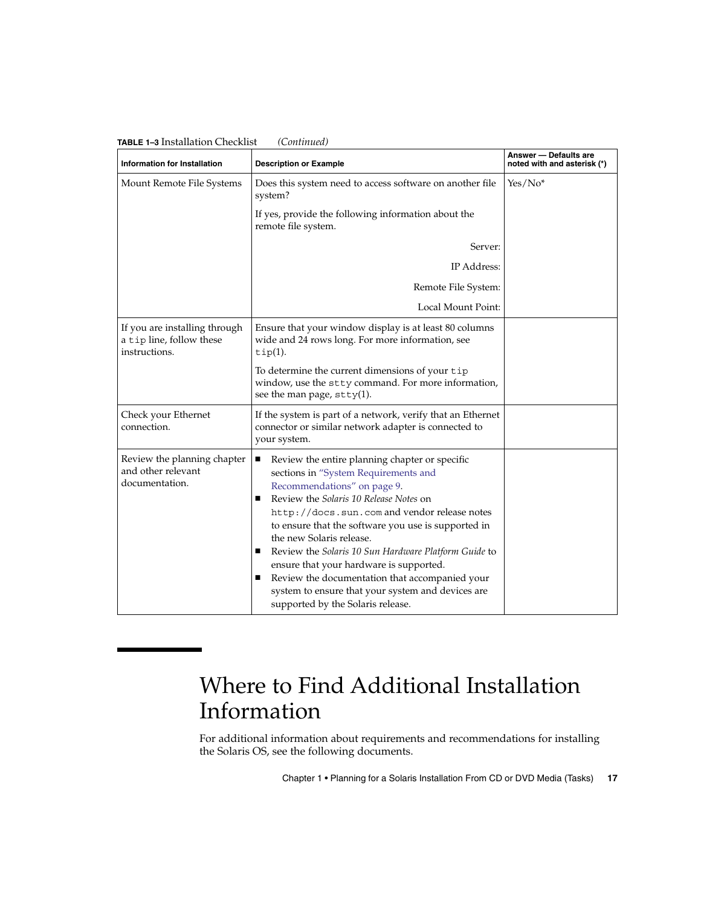| <b>Information for Installation</b>                                        | <b>Description or Example</b>                                                                                                                                                                                                                                                                                                                                                                                                                                                                                                                                    | Answer - Defaults are<br>noted with and asterisk (*) |
|----------------------------------------------------------------------------|------------------------------------------------------------------------------------------------------------------------------------------------------------------------------------------------------------------------------------------------------------------------------------------------------------------------------------------------------------------------------------------------------------------------------------------------------------------------------------------------------------------------------------------------------------------|------------------------------------------------------|
| Mount Remote File Systems                                                  | Does this system need to access software on another file<br>system?                                                                                                                                                                                                                                                                                                                                                                                                                                                                                              | $Yes/No*$                                            |
|                                                                            | If yes, provide the following information about the<br>remote file system.                                                                                                                                                                                                                                                                                                                                                                                                                                                                                       |                                                      |
|                                                                            | Server:                                                                                                                                                                                                                                                                                                                                                                                                                                                                                                                                                          |                                                      |
|                                                                            | IP Address:                                                                                                                                                                                                                                                                                                                                                                                                                                                                                                                                                      |                                                      |
|                                                                            | Remote File System:                                                                                                                                                                                                                                                                                                                                                                                                                                                                                                                                              |                                                      |
|                                                                            | Local Mount Point:                                                                                                                                                                                                                                                                                                                                                                                                                                                                                                                                               |                                                      |
| If you are installing through<br>a tip line, follow these<br>instructions. | Ensure that your window display is at least 80 columns<br>wide and 24 rows long. For more information, see<br>$tip(1)$ .                                                                                                                                                                                                                                                                                                                                                                                                                                         |                                                      |
|                                                                            | To determine the current dimensions of your tip<br>window, use the stty command. For more information,<br>see the man page, $stty(1)$ .                                                                                                                                                                                                                                                                                                                                                                                                                          |                                                      |
| Check your Ethernet<br>connection.                                         | If the system is part of a network, verify that an Ethernet<br>connector or similar network adapter is connected to<br>your system.                                                                                                                                                                                                                                                                                                                                                                                                                              |                                                      |
| Review the planning chapter<br>and other relevant<br>documentation.        | Review the entire planning chapter or specific<br>ш<br>sections in "System Requirements and<br>Recommendations" on page 9.<br>Review the Solaris 10 Release Notes on<br>п<br>http://docs.sun.com and vendor release notes<br>to ensure that the software you use is supported in<br>the new Solaris release.<br>Review the Solaris 10 Sun Hardware Platform Guide to<br>ш<br>ensure that your hardware is supported.<br>Review the documentation that accompanied your<br>system to ensure that your system and devices are<br>supported by the Solaris release. |                                                      |

## <span id="page-16-0"></span>**TABLE 1–3** Installation Checklist *(Continued)*

# Where to Find Additional Installation Information

For additional information about requirements and recommendations for installing the Solaris OS, see the following documents.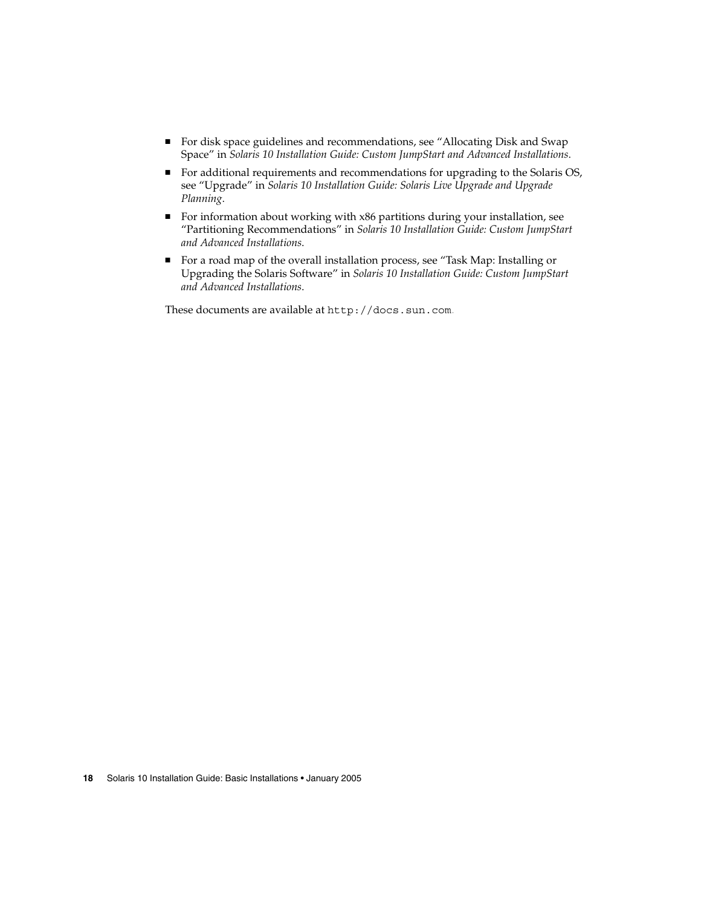- For disk space guidelines and recommendations, see "Allocating Disk and Swap Space" in *Solaris 10 Installation Guide: Custom JumpStart and Advanced Installations*.
- For additional requirements and recommendations for upgrading to the Solaris OS, see "Upgrade" in *Solaris 10 Installation Guide: Solaris Live Upgrade and Upgrade Planning*.
- For information about working with x86 partitions during your installation, see "Partitioning Recommendations" in *Solaris 10 Installation Guide: Custom JumpStart and Advanced Installations*.
- For a road map of the overall installation process, see "Task Map: Installing or Upgrading the Solaris Software" in *Solaris 10 Installation Guide: Custom JumpStart and Advanced Installations*.

These documents are available at <http://docs.sun.com>.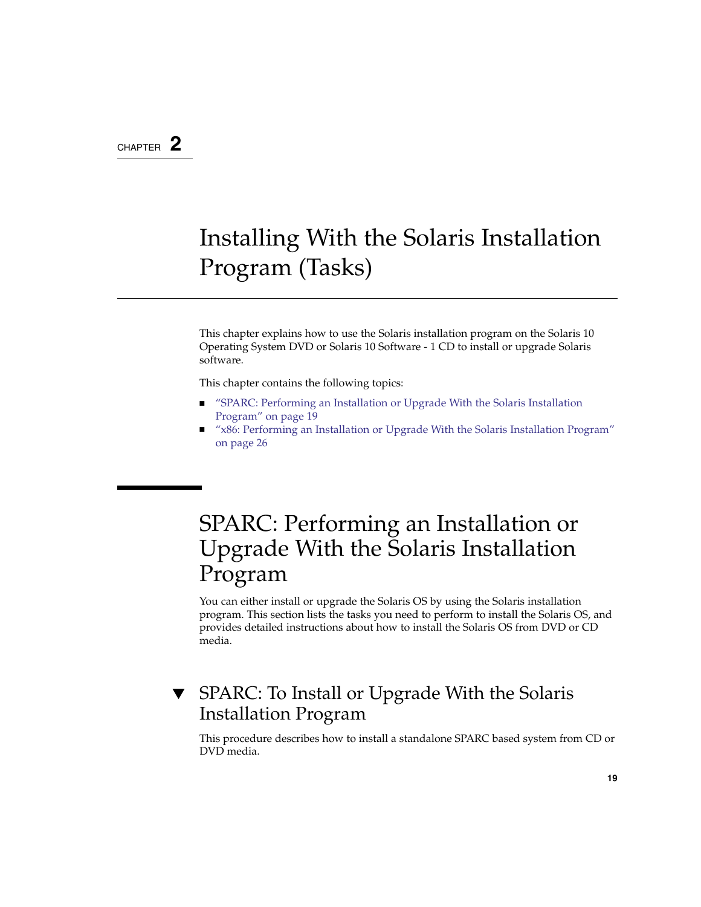## <span id="page-18-0"></span>CHAPTER **2**

# Installing With the Solaris Installation Program (Tasks)

This chapter explains how to use the Solaris installation program on the Solaris 10 Operating System DVD or Solaris 10 Software - 1 CD to install or upgrade Solaris software.

This chapter contains the following topics:

- "SPARC: Performing an Installation or Upgrade With the Solaris Installation Program" on page 19
- ["x86: Performing an Installation or Upgrade With the Solaris Installation Program"](#page-25-0) [on page 26](#page-25-0)

# SPARC: Performing an Installation or Upgrade With the Solaris Installation Program

You can either install or upgrade the Solaris OS by using the Solaris installation program. This section lists the tasks you need to perform to install the Solaris OS, and provides detailed instructions about how to install the Solaris OS from DVD or CD media.

## SPARC: To Install or Upgrade With the Solaris Installation Program

This procedure describes how to install a standalone SPARC based system from CD or DVD media.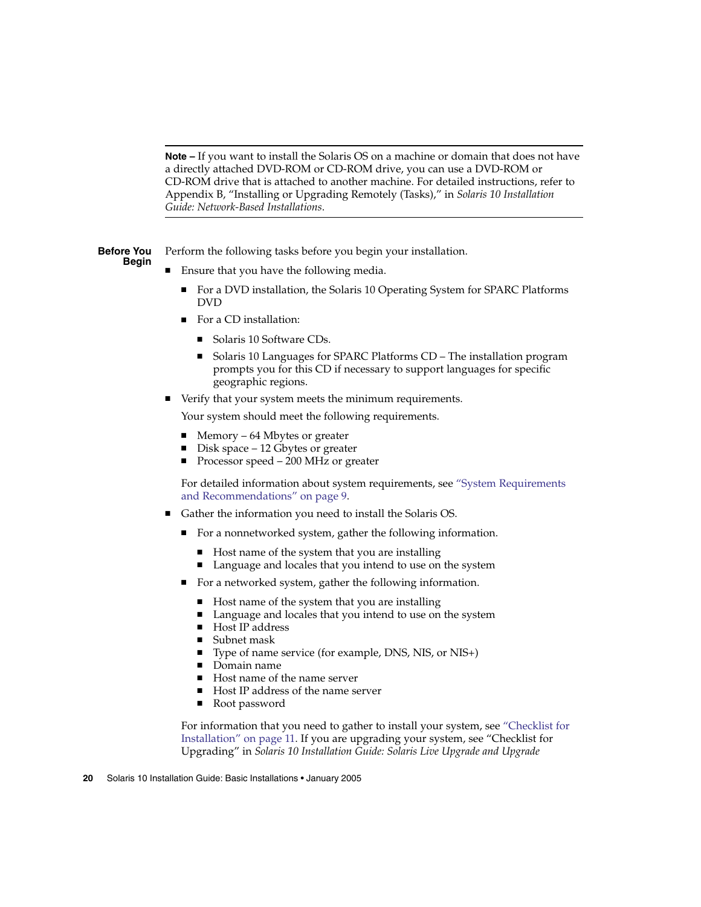<span id="page-19-0"></span>**Note –** If you want to install the Solaris OS on a machine or domain that does not have a directly attached DVD-ROM or CD-ROM drive, you can use a DVD-ROM or CD-ROM drive that is attached to another machine. For detailed instructions, refer to Appendix B, "Installing or Upgrading Remotely (Tasks)," in *Solaris 10 Installation Guide: Network-Based Installations*.

Perform the following tasks before you begin your installation. **Before You Begin**

- Ensure that you have the following media.
	- For a DVD installation, the Solaris 10 Operating System for SPARC Platforms DVD
	- For a CD installation:
		- Solaris 10 Software CDs.
		- Solaris 10 Languages for SPARC Platforms CD The installation program prompts you for this CD if necessary to support languages for specific geographic regions.
- Verify that your system meets the minimum requirements.

Your system should meet the following requirements.

- Memory 64 Mbytes or greater
- Disk space  $-12$  Gbytes or greater
- Processor speed 200 MHz or greater

For detailed information about system requirements, see ["System Requirements](#page-8-0) [and Recommendations"](#page-8-0) on page 9.

- Gather the information you need to install the Solaris OS.
	- For a nonnetworked system, gather the following information.
		- Host name of the system that you are installing
		- Language and locales that you intend to use on the system
	- For a networked system, gather the following information.
		- Host name of the system that you are installing
		- Language and locales that you intend to use on the system
		- Host IP address
		- Subnet mask
		- Type of name service (for example, DNS, NIS, or NIS+)
		- Domain name
		- Host name of the name server
		- Host IP address of the name server
		- Root password

For information that you need to gather to install your system, see ["Checklist for](#page-10-0) [Installation"](#page-10-0) on page 11. If you are upgrading your system, see "Checklist for Upgrading" in *Solaris 10 Installation Guide: Solaris Live Upgrade and Upgrade*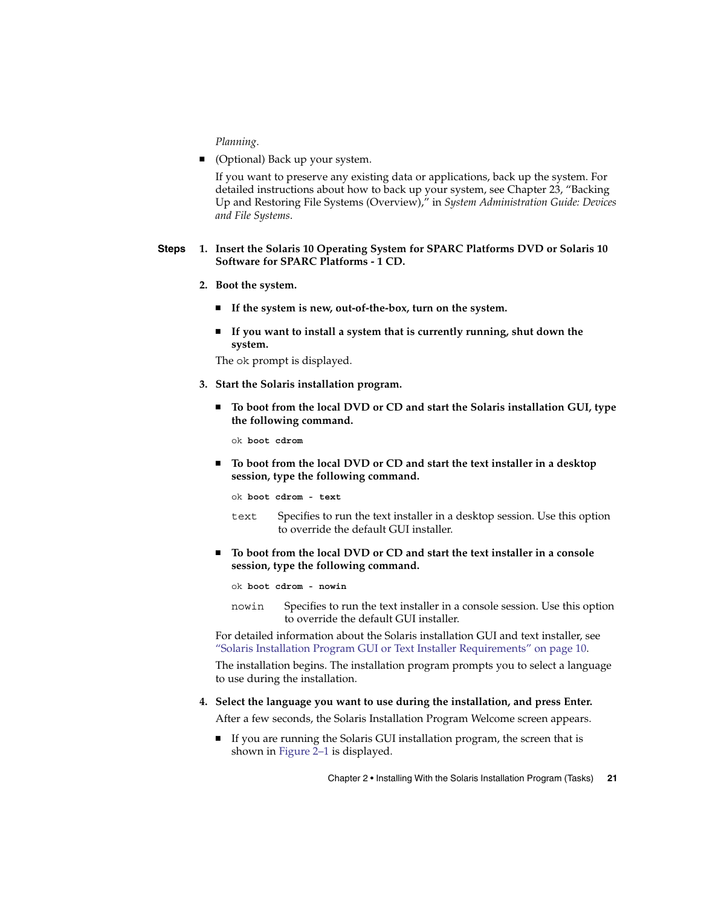*Planning*.

<span id="page-20-0"></span>■ (Optional) Back up your system.

If you want to preserve any existing data or applications, back up the system. For detailed instructions about how to back up your system, see Chapter 23, "Backing Up and Restoring File Systems (Overview)," in *System Administration Guide: Devices and File Systems*.

#### **1. Insert the Solaris 10 Operating System for SPARC Platforms DVD or Solaris 10 Software for SPARC Platforms - 1 CD. Steps**

- **2. Boot the system.**
	- **If the system is new, out-of-the-box, turn on the system.**
	- **If you want to install a system that is currently running, shut down the system.**

The ok prompt is displayed.

- **3. Start the Solaris installation program.**
	- **To boot from the local DVD or CD and start the Solaris installation GUI, type the following command.**

ok **boot cdrom**

■ **To boot from the local DVD or CD and start the text installer in a desktop session, type the following command.**

ok **boot cdrom - text**

- text Specifies to run the text installer in a desktop session. Use this option to override the default GUI installer.
- **To boot from the local DVD or CD and start the text installer in a console session, type the following command.**

ok **boot cdrom - nowin**

nowin Specifies to run the text installer in a console session. Use this option to override the default GUI installer.

For detailed information about the Solaris installation GUI and text installer, see ["Solaris Installation Program GUI or Text Installer Requirements"](#page-9-0) on page 10.

The installation begins. The installation program prompts you to select a language to use during the installation.

**4. Select the language you want to use during the installation, and press Enter.**

After a few seconds, the Solaris Installation Program Welcome screen appears.

■ If you are running the Solaris GUI installation program, the screen that is shown in [Figure 2–1](#page-21-0) is displayed.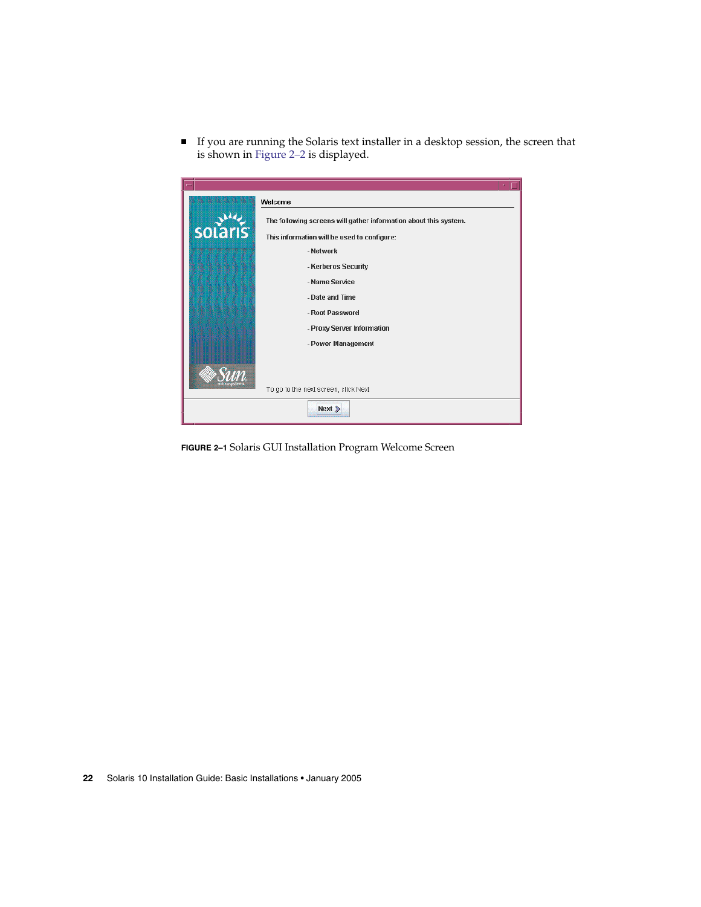<span id="page-21-0"></span>■ If you are running the Solaris text installer in a desktop session, the screen that is shown in [Figure 2–2](#page-22-0) is displayed.



**FIGURE 2–1** Solaris GUI Installation Program Welcome Screen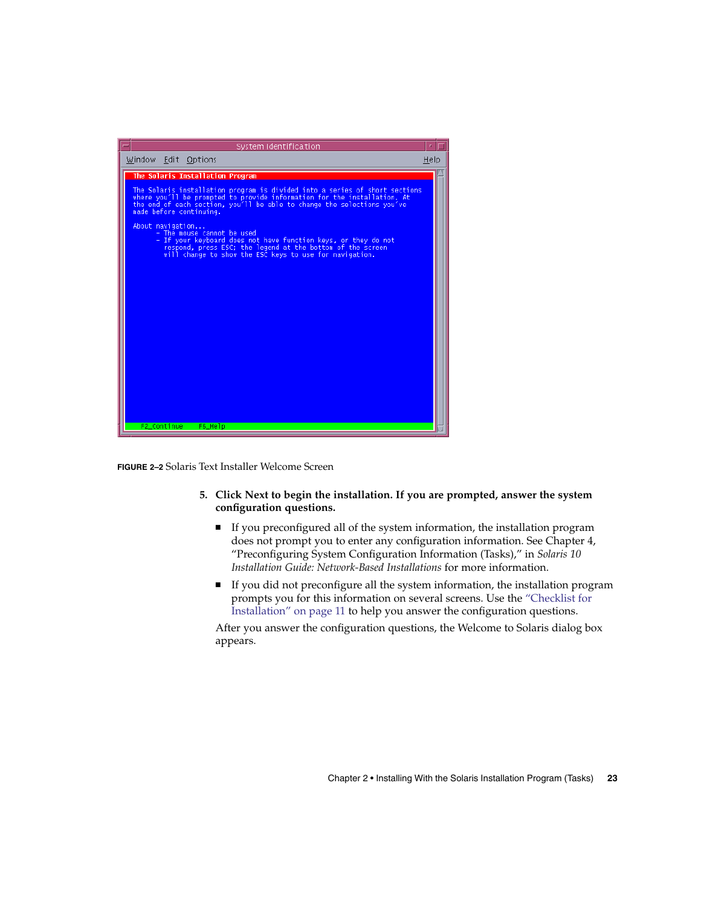<span id="page-22-0"></span>

**FIGURE 2–2** Solaris Text Installer Welcome Screen

- **5. Click Next to begin the installation. If you are prompted, answer the system configuration questions.**
	- If you preconfigured all of the system information, the installation program does not prompt you to enter any configuration information. See Chapter 4, "Preconfiguring System Configuration Information (Tasks)," in *Solaris 10 Installation Guide: Network-Based Installations* for more information.
	- If you did not preconfigure all the system information, the installation program prompts you for this information on several screens. Use the ["Checklist for](#page-10-0) [Installation"](#page-10-0) on page 11 to help you answer the configuration questions.

After you answer the configuration questions, the Welcome to Solaris dialog box appears.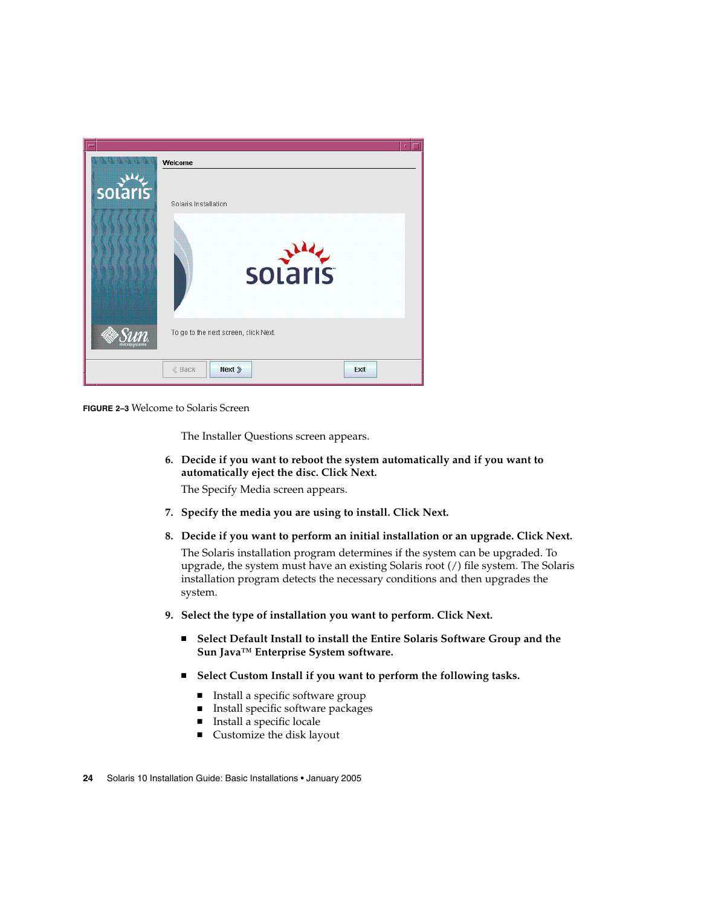<span id="page-23-0"></span>

**FIGURE 2–3** Welcome to Solaris Screen

The Installer Questions screen appears.

- **6. Decide if you want to reboot the system automatically and if you want to automatically eject the disc. Click Next.** The Specify Media screen appears.
- **7. Specify the media you are using to install. Click Next.**
- **8. Decide if you want to perform an initial installation or an upgrade. Click Next.**

The Solaris installation program determines if the system can be upgraded. To upgrade, the system must have an existing Solaris root (/) file system. The Solaris installation program detects the necessary conditions and then upgrades the system.

- **9. Select the type of installation you want to perform. Click Next.**
	- Select Default Install to install the Entire Solaris Software Group and the **Sun Java™ Enterprise System software.**
	- Select Custom Install if you want to perform the following tasks.
		- Install a specific software group
		- Install specific software packages
		- Install a specific locale
		- Customize the disk layout
- **24** Solaris 10 Installation Guide: Basic Installations January 2005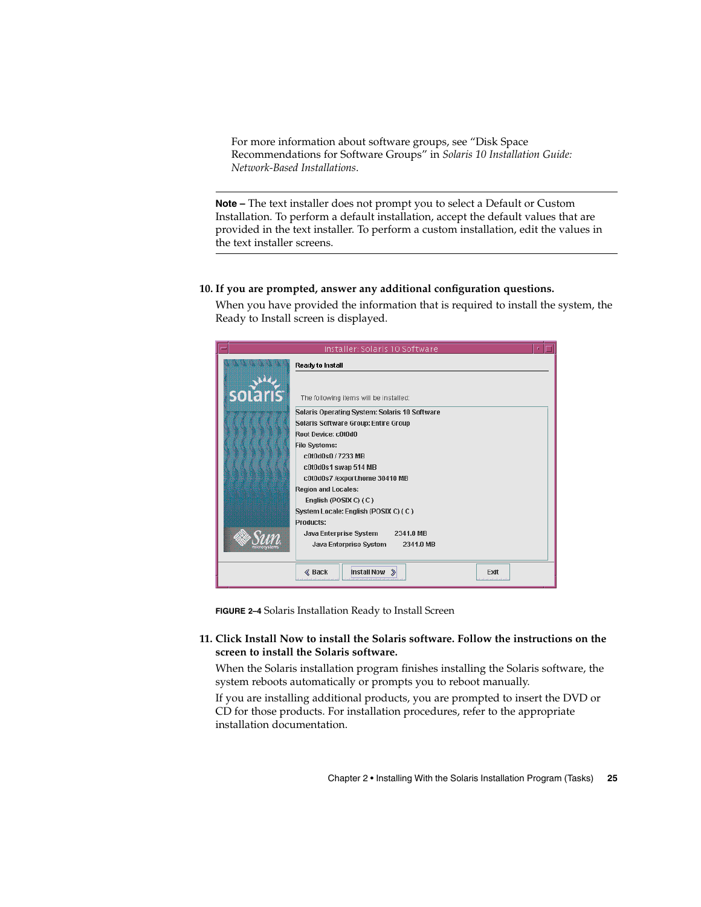<span id="page-24-0"></span>For more information about software groups, see "Disk Space Recommendations for Software Groups" in *Solaris 10 Installation Guide: Network-Based Installations*.

**Note –** The text installer does not prompt you to select a Default or Custom Installation. To perform a default installation, accept the default values that are provided in the text installer. To perform a custom installation, edit the values in the text installer screens.

### **10. If you are prompted, answer any additional configuration questions.**

When you have provided the information that is required to install the system, the Ready to Install screen is displayed.



**FIGURE 2–4** Solaris Installation Ready to Install Screen

### **11. Click Install Now to install the Solaris software. Follow the instructions on the screen to install the Solaris software.**

When the Solaris installation program finishes installing the Solaris software, the system reboots automatically or prompts you to reboot manually.

If you are installing additional products, you are prompted to insert the DVD or CD for those products. For installation procedures, refer to the appropriate installation documentation.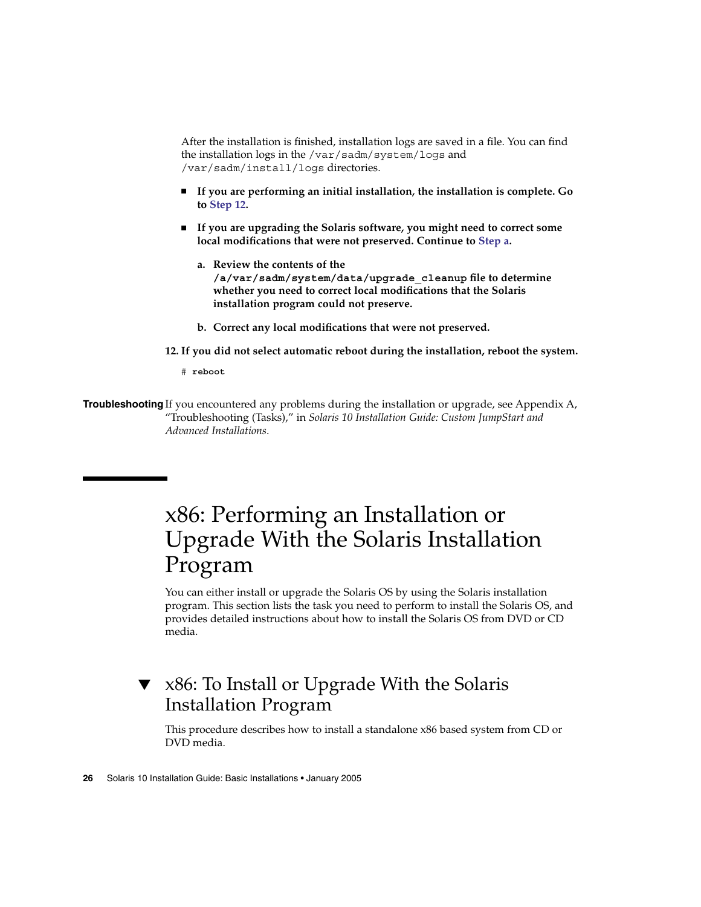<span id="page-25-0"></span>After the installation is finished, installation logs are saved in a file. You can find the installation logs in the /var/sadm/system/logs and /var/sadm/install/logs directories.

- **If you are performing an initial installation, the installation is complete. Go to Step 12.**
- **If you are upgrading the Solaris software, you might need to correct some local modifications that were not preserved. Continue to Step a.**
	- **a. Review the contents of the /a/var/sadm/system/data/upgrade\_cleanup file to determine whether you need to correct local modifications that the Solaris installation program could not preserve.**
	- **b. Correct any local modifications that were not preserved.**

**12. If you did not select automatic reboot during the installation, reboot the system.**

# **reboot**

**Troubleshooting** If you encountered any problems during the installation or upgrade, see Appendix A, "Troubleshooting (Tasks)," in *Solaris 10 Installation Guide: Custom JumpStart and Advanced Installations*.

# x86: Performing an Installation or Upgrade With the Solaris Installation Program

You can either install or upgrade the Solaris OS by using the Solaris installation program. This section lists the task you need to perform to install the Solaris OS, and provides detailed instructions about how to install the Solaris OS from DVD or CD media.

## ▼ x86: To Install or Upgrade With the Solaris Installation Program

This procedure describes how to install a standalone x86 based system from CD or DVD media.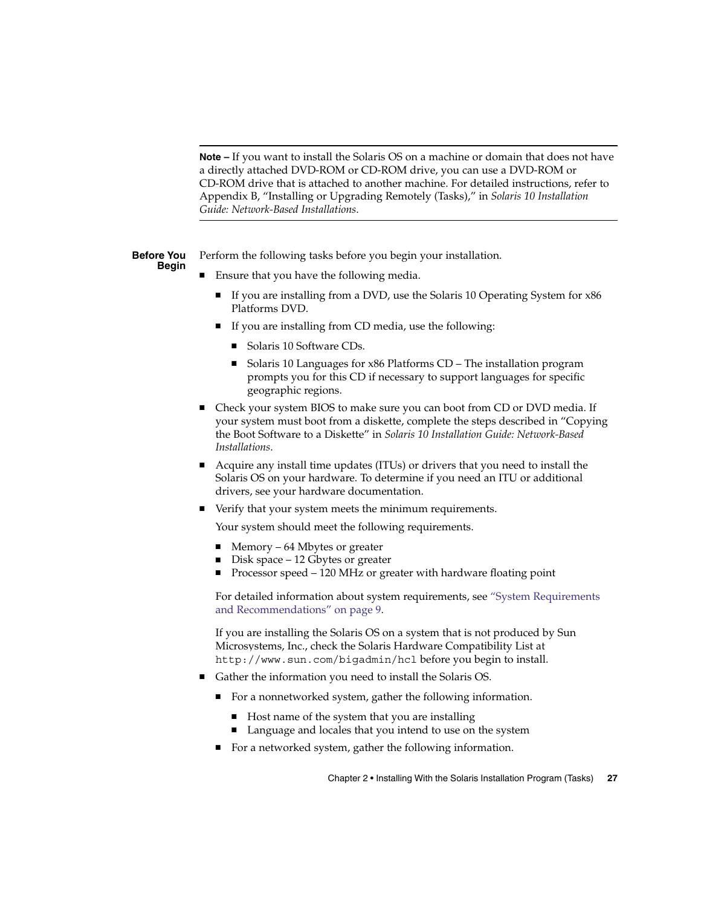<span id="page-26-0"></span>**Note –** If you want to install the Solaris OS on a machine or domain that does not have a directly attached DVD-ROM or CD-ROM drive, you can use a DVD-ROM or CD-ROM drive that is attached to another machine. For detailed instructions, refer to Appendix B, "Installing or Upgrading Remotely (Tasks)," in *Solaris 10 Installation Guide: Network-Based Installations*.

Perform the following tasks before you begin your installation. **Before You Begin**

- Ensure that you have the following media.
	- If you are installing from a DVD, use the Solaris 10 Operating System for x86 Platforms DVD.
	- If you are installing from CD media, use the following:
		- Solaris 10 Software CDs.
		- Solaris 10 Languages for x86 Platforms CD The installation program prompts you for this CD if necessary to support languages for specific geographic regions.
- Check your system BIOS to make sure you can boot from CD or DVD media. If your system must boot from a diskette, complete the steps described in "Copying the Boot Software to a Diskette" in *Solaris 10 Installation Guide: Network-Based Installations*.
- Acquire any install time updates (ITUs) or drivers that you need to install the Solaris OS on your hardware. To determine if you need an ITU or additional drivers, see your hardware documentation.
- Verify that your system meets the minimum requirements.

Your system should meet the following requirements.

- $Memory 64$  Mbytes or greater
- Disk space 12 Gbytes or greater
- Processor speed 120 MHz or greater with hardware floating point

For detailed information about system requirements, see ["System Requirements](#page-8-0) [and Recommendations"](#page-8-0) on page 9.

If you are installing the Solaris OS on a system that is not produced by Sun Microsystems, Inc., check the Solaris Hardware Compatibility List at <http://www.sun.com/bigadmin/hcl> before you begin to install.

- Gather the information you need to install the Solaris OS.
	- For a nonnetworked system, gather the following information.
		- Host name of the system that you are installing
		- Language and locales that you intend to use on the system
	- For a networked system, gather the following information.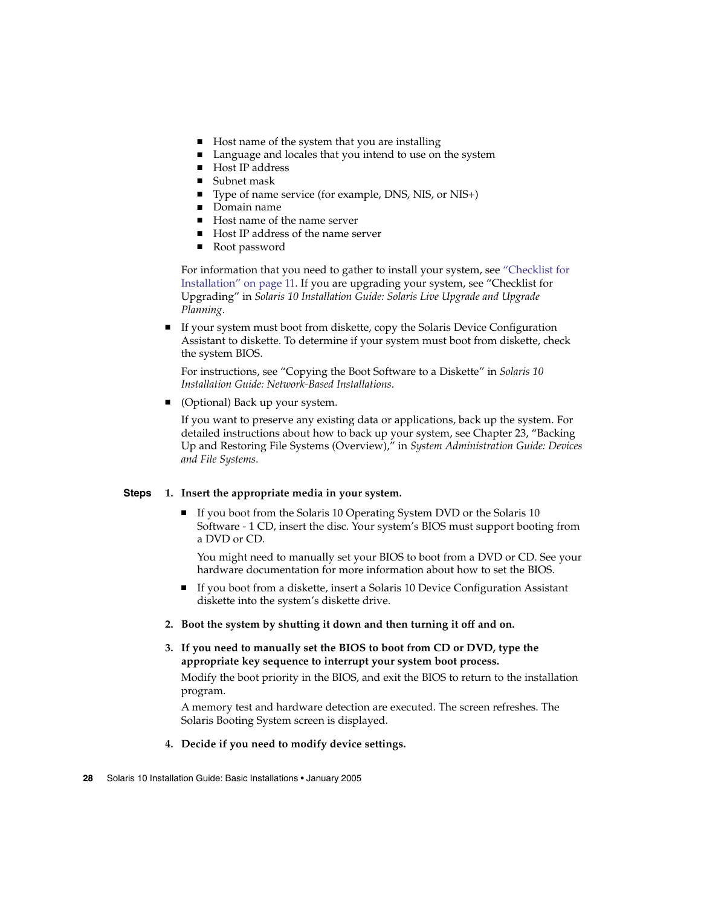- <span id="page-27-0"></span>■ Host name of the system that you are installing
- Language and locales that you intend to use on the system
- Host IP address
- Subnet mask
- Type of name service (for example, DNS, NIS, or NIS+)
- Domain name
- Host name of the name server
- Host IP address of the name server
- Root password

For information that you need to gather to install your system, see ["Checklist for](#page-10-0) [Installation"](#page-10-0) on page 11. If you are upgrading your system, see "Checklist for Upgrading" in *Solaris 10 Installation Guide: Solaris Live Upgrade and Upgrade Planning*.

If your system must boot from diskette, copy the Solaris Device Configuration Assistant to diskette. To determine if your system must boot from diskette, check the system BIOS.

For instructions, see "Copying the Boot Software to a Diskette" in *Solaris 10 Installation Guide: Network-Based Installations*.

(Optional) Back up your system.

If you want to preserve any existing data or applications, back up the system. For detailed instructions about how to back up your system, see Chapter 23, "Backing Up and Restoring File Systems (Overview)," in *System Administration Guide: Devices and File Systems*.

#### **1. Insert the appropriate media in your system. Steps**

If you boot from the Solaris 10 Operating System DVD or the Solaris 10 Software - 1 CD, insert the disc. Your system's BIOS must support booting from a DVD or CD.

You might need to manually set your BIOS to boot from a DVD or CD. See your hardware documentation for more information about how to set the BIOS.

- If you boot from a diskette, insert a Solaris 10 Device Configuration Assistant diskette into the system's diskette drive.
- **2. Boot the system by shutting it down and then turning it off and on.**
- **3. If you need to manually set the BIOS to boot from CD or DVD, type the appropriate key sequence to interrupt your system boot process.**

Modify the boot priority in the BIOS, and exit the BIOS to return to the installation program.

A memory test and hardware detection are executed. The screen refreshes. The Solaris Booting System screen is displayed.

## **4. Decide if you need to modify device settings.**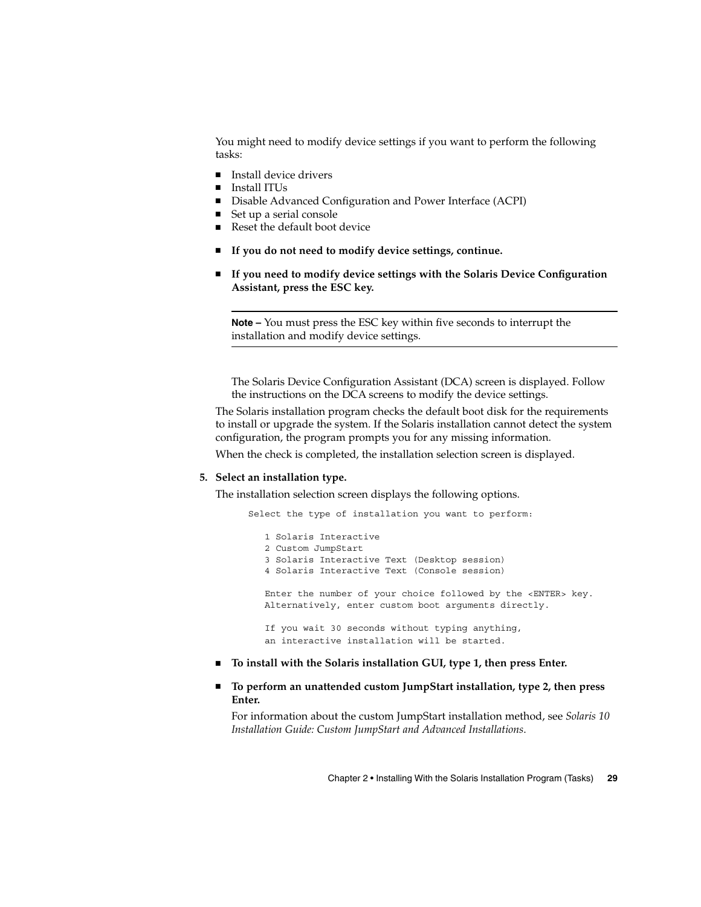<span id="page-28-0"></span>You might need to modify device settings if you want to perform the following tasks:

- Install device drivers
- Install ITUs
- Disable Advanced Configuration and Power Interface (ACPI)
- Set up a serial console
- Reset the default boot device
- If you do not need to modify device settings, continue.
- If you need to modify device settings with the Solaris Device Configuration **Assistant, press the ESC key.**

**Note –** You must press the ESC key within five seconds to interrupt the installation and modify device settings.

The Solaris Device Configuration Assistant (DCA) screen is displayed. Follow the instructions on the DCA screens to modify the device settings.

The Solaris installation program checks the default boot disk for the requirements to install or upgrade the system. If the Solaris installation cannot detect the system configuration, the program prompts you for any missing information.

When the check is completed, the installation selection screen is displayed.

### **5. Select an installation type.**

The installation selection screen displays the following options.

Select the type of installation you want to perform:

```
1 Solaris Interactive
2 Custom JumpStart
3 Solaris Interactive Text (Desktop session)
4 Solaris Interactive Text (Console session)
Enter the number of your choice followed by the <ENTER> key.
Alternatively, enter custom boot arguments directly.
If you wait 30 seconds without typing anything,
an interactive installation will be started.
```
- **To install with the Solaris installation GUI, type 1, then press Enter.**
- To perform an unattended custom JumpStart installation, type 2, then press **Enter.**

For information about the custom JumpStart installation method, see *Solaris 10 Installation Guide: Custom JumpStart and Advanced Installations*.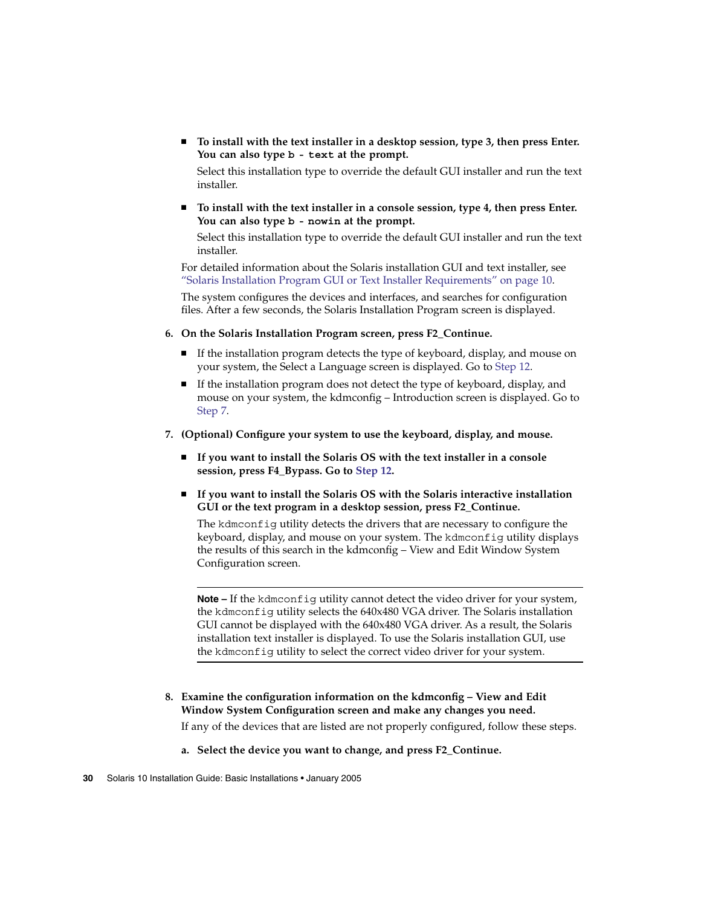<span id="page-29-0"></span>■ **To install with the text installer in a desktop session, type 3, then press Enter. You can also type b - text at the prompt.**

Select this installation type to override the default GUI installer and run the text installer.

To install with the text installer in a console session, type 4, then press Enter. **You can also type b - nowin at the prompt.**

Select this installation type to override the default GUI installer and run the text installer.

For detailed information about the Solaris installation GUI and text installer, see ["Solaris Installation Program GUI or Text Installer Requirements"](#page-9-0) on page 10.

The system configures the devices and interfaces, and searches for configuration files. After a few seconds, the Solaris Installation Program screen is displayed.

- **6. On the Solaris Installation Program screen, press F2\_Continue.**
	- If the installation program detects the type of keyboard, display, and mouse on your system, the Select a Language screen is displayed. Go to [Step 12.](#page-30-0)
	- If the installation program does not detect the type of keyboard, display, and mouse on your system, the kdmconfig – Introduction screen is displayed. Go to Step 7.
- **7. (Optional) Configure your system to use the keyboard, display, and mouse.**
	- **If you want to install the Solaris OS with the text installer in a console session, press F4\_Bypass. Go to [Step 12.](#page-30-0)**
	- **If you want to install the Solaris OS with the Solaris interactive installation GUI or the text program in a desktop session, press F2\_Continue.**

The kdmconfig utility detects the drivers that are necessary to configure the keyboard, display, and mouse on your system. The kdmconfig utility displays the results of this search in the kdmconfig – View and Edit Window System Configuration screen.

**Note –** If the kdmconfig utility cannot detect the video driver for your system, the kdmconfig utility selects the 640x480 VGA driver. The Solaris installation GUI cannot be displayed with the 640x480 VGA driver. As a result, the Solaris installation text installer is displayed. To use the Solaris installation GUI, use the kdmconfig utility to select the correct video driver for your system.

**8. Examine the configuration information on the kdmconfig – View and Edit Window System Configuration screen and make any changes you need.**

If any of the devices that are listed are not properly configured, follow these steps.

**a. Select the device you want to change, and press F2\_Continue.**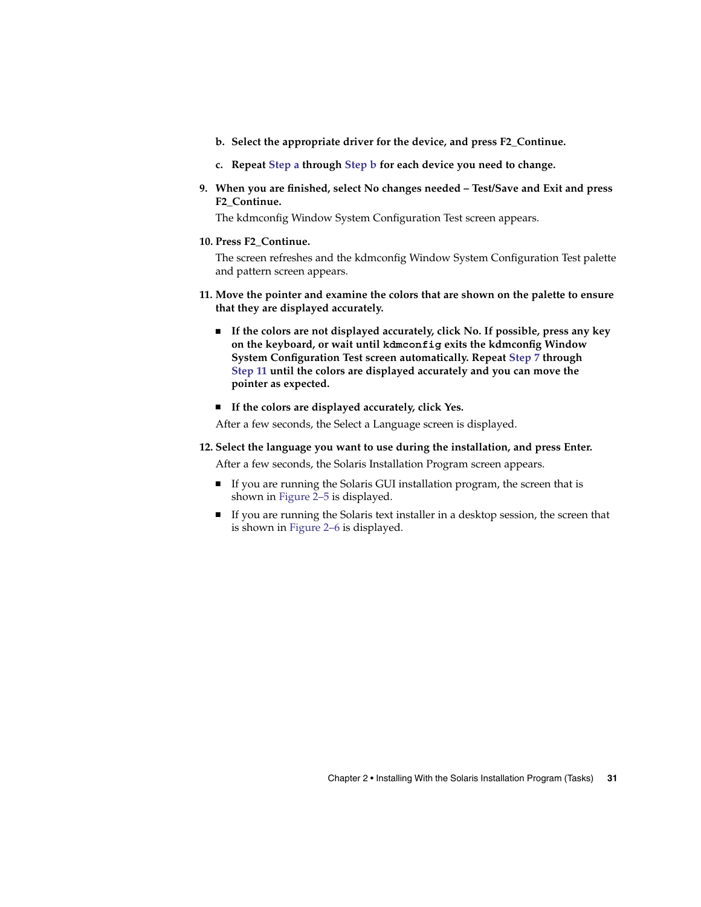- <span id="page-30-0"></span>**b. Select the appropriate driver for the device, and press F2\_Continue.**
- **c. Repeat [Step a](#page-29-0) through Step b for each device you need to change.**
- **9. When you are finished, select No changes needed – Test/Save and Exit and press F2\_Continue.**

The kdmconfig Window System Configuration Test screen appears.

**10. Press F2\_Continue.**

The screen refreshes and the kdmconfig Window System Configuration Test palette and pattern screen appears.

- **11. Move the pointer and examine the colors that are shown on the palette to ensure that they are displayed accurately.**
	- **If the colors are not displayed accurately, click No. If possible, press any key on the keyboard, or wait until kdmconfig exits the kdmconfig Window System Configuration Test screen automatically. Repeat [Step 7](#page-29-0) through Step 11 until the colors are displayed accurately and you can move the pointer as expected.**
	- **If the colors are displayed accurately, click Yes.**

After a few seconds, the Select a Language screen is displayed.

- **12. Select the language you want to use during the installation, and press Enter.** After a few seconds, the Solaris Installation Program screen appears.
	- If you are running the Solaris GUI installation program, the screen that is shown in [Figure 2–5](#page-31-0) is displayed.
	- If you are running the Solaris text installer in a desktop session, the screen that is shown in [Figure 2–6](#page-32-0) is displayed.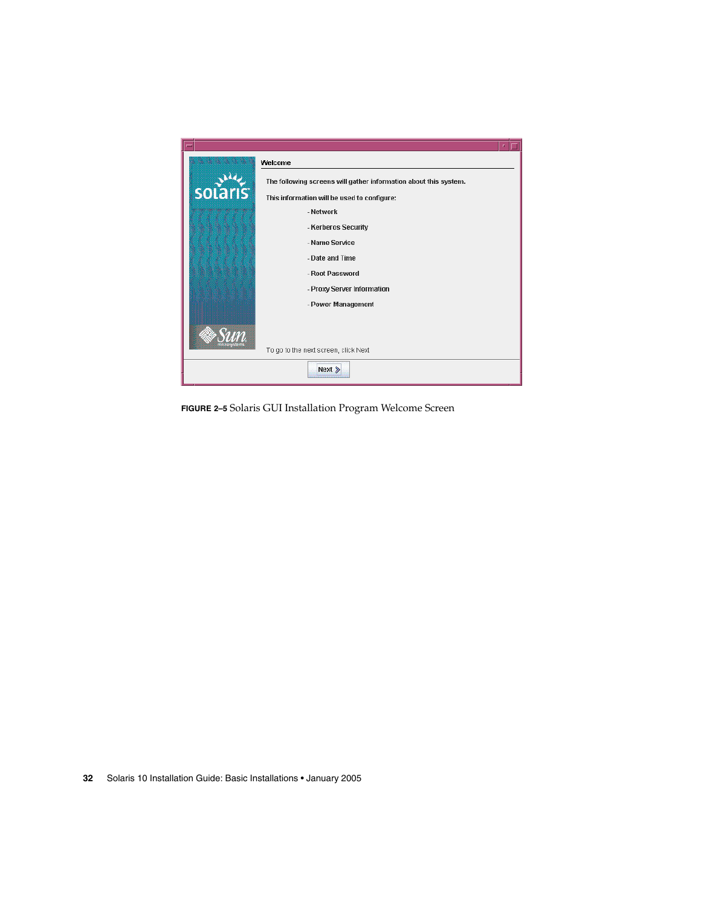<span id="page-31-0"></span>

**FIGURE 2–5** Solaris GUI Installation Program Welcome Screen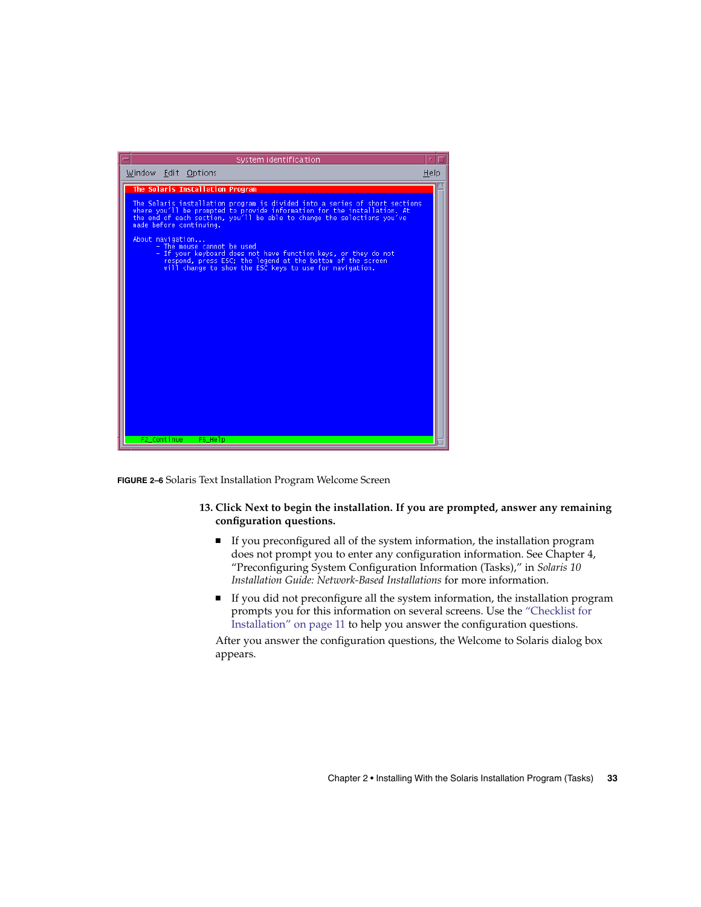<span id="page-32-0"></span>

**FIGURE 2–6** Solaris Text Installation Program Welcome Screen

## **13. Click Next to begin the installation. If you are prompted, answer any remaining configuration questions.**

- If you preconfigured all of the system information, the installation program does not prompt you to enter any configuration information. See Chapter 4, "Preconfiguring System Configuration Information (Tasks)," in *Solaris 10 Installation Guide: Network-Based Installations* for more information.
- If you did not preconfigure all the system information, the installation program prompts you for this information on several screens. Use the ["Checklist for](#page-10-0) [Installation"](#page-10-0) on page 11 to help you answer the configuration questions.

After you answer the configuration questions, the Welcome to Solaris dialog box appears.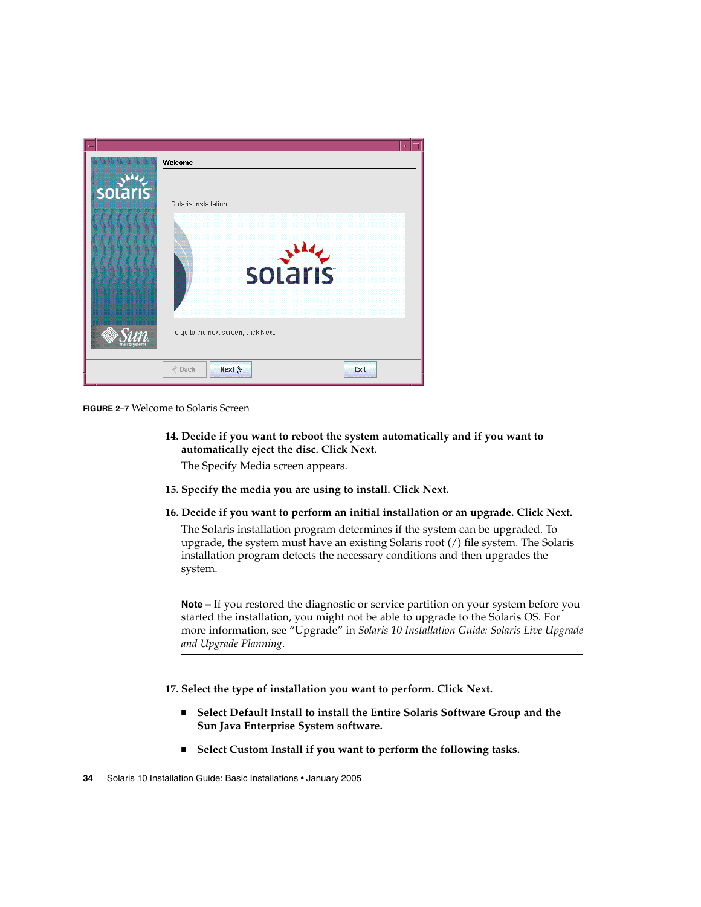

**FIGURE 2–7** Welcome to Solaris Screen

**14. Decide if you want to reboot the system automatically and if you want to automatically eject the disc. Click Next.**

The Specify Media screen appears.

- **15. Specify the media you are using to install. Click Next.**
- **16. Decide if you want to perform an initial installation or an upgrade. Click Next.**

The Solaris installation program determines if the system can be upgraded. To upgrade, the system must have an existing Solaris root (/) file system. The Solaris installation program detects the necessary conditions and then upgrades the system.

**Note –** If you restored the diagnostic or service partition on your system before you started the installation, you might not be able to upgrade to the Solaris OS. For more information, see "Upgrade" in *Solaris 10 Installation Guide: Solaris Live Upgrade and Upgrade Planning*.

**17. Select the type of installation you want to perform. Click Next.**

- Select Default Install to install the Entire Solaris Software Group and the **Sun Java Enterprise System software.**
- **Select Custom Install if you want to perform the following tasks.**

**<sup>34</sup>** Solaris 10 Installation Guide: Basic Installations • January 2005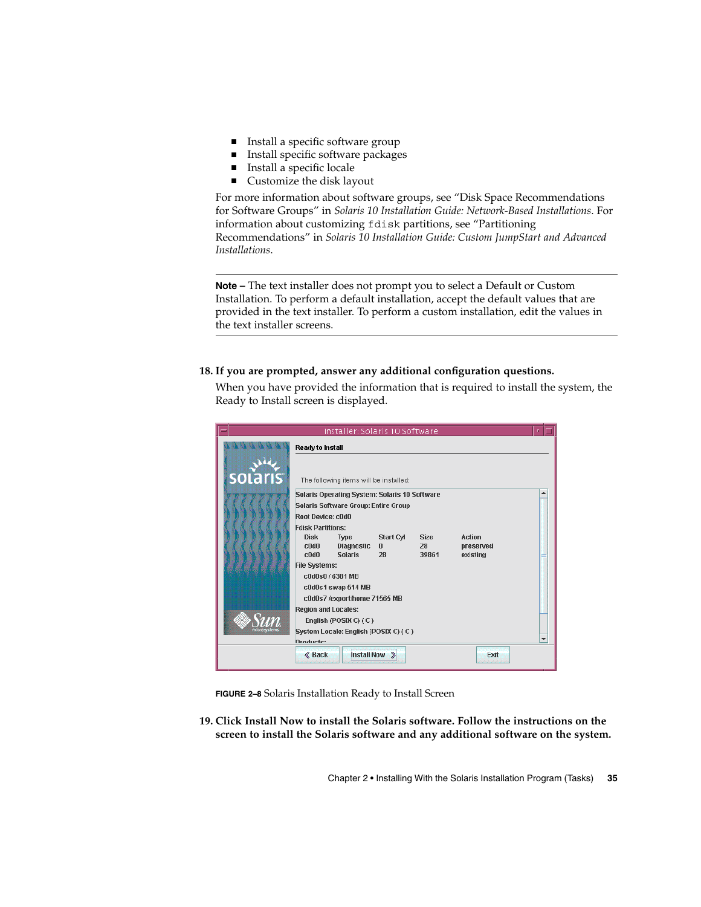- <span id="page-34-0"></span>■ Install a specific software group
- Install specific software packages
- Install a specific locale
- Customize the disk layout

For more information about software groups, see "Disk Space Recommendations for Software Groups" in *Solaris 10 Installation Guide: Network-Based Installations*. For information about customizing fdisk partitions, see "Partitioning Recommendations" in *Solaris 10 Installation Guide: Custom JumpStart and Advanced Installations*.

**Note –** The text installer does not prompt you to select a Default or Custom Installation. To perform a default installation, accept the default values that are provided in the text installer. To perform a custom installation, edit the values in the text installer screens.

## **18. If you are prompted, answer any additional configuration questions.**

When you have provided the information that is required to install the system, the Ready to Install screen is displayed.

|                |                                      | Installer: Solaris 10 Software                |                           |                   |                            |                          |
|----------------|--------------------------------------|-----------------------------------------------|---------------------------|-------------------|----------------------------|--------------------------|
|                | Ready to Install                     |                                               |                           |                   |                            |                          |
| <b>solaris</b> |                                      | The following items will be installed:        |                           |                   |                            |                          |
|                |                                      | Solaris Operating System: Solaris 10 Software |                           |                   |                            |                          |
|                | Solaris Software Group: Entire Group |                                               |                           |                   |                            |                          |
|                | Root Device: c0d0                    |                                               |                           |                   |                            |                          |
|                | <b>Fdisk Partitions:</b>             |                                               |                           |                   |                            |                          |
|                | <b>Disk</b><br>c0d0                  | Type<br><b>Diagnostic</b>                     | Start Cyl<br>$\mathbf{n}$ | <b>Size</b><br>28 | <b>Action</b><br>preserved |                          |
|                | c0d0                                 | <b>Solaris</b>                                | 28                        | 39861             | existing                   |                          |
|                | <b>File Systems:</b>                 |                                               |                           |                   |                            |                          |
|                | c0d0s0 / 6381 MB                     |                                               |                           |                   |                            |                          |
|                |                                      | c0d0s1 swap 514 MB                            |                           |                   |                            |                          |
|                |                                      | c0d0s7 /export/home 71565 MB                  |                           |                   |                            |                          |
|                | <b>Region and Locales:</b>           |                                               |                           |                   |                            |                          |
|                |                                      | English (POSIX C) (C)                         |                           |                   |                            |                          |
|                | Droducte:                            | System Locale: English (POSIX C) (C)          |                           |                   |                            | $\overline{\phantom{a}}$ |
|                |                                      |                                               |                           |                   | Exit                       |                          |
|                | <b>≪</b> Back                        | Install Now >                                 |                           |                   |                            |                          |

**FIGURE 2–8** Solaris Installation Ready to Install Screen

**19. Click Install Now to install the Solaris software. Follow the instructions on the screen to install the Solaris software and any additional software on the system.**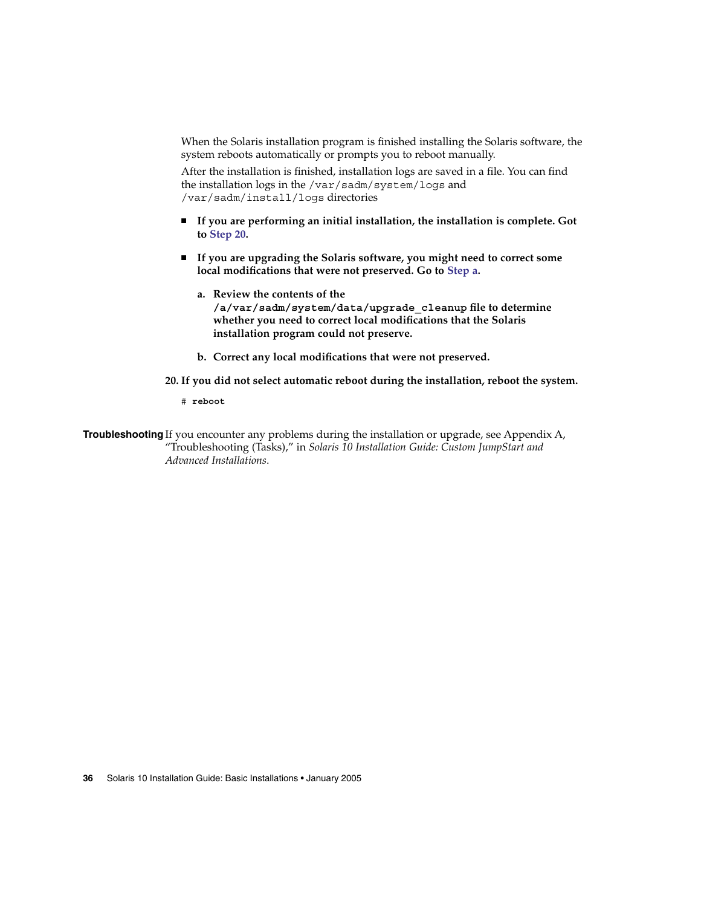When the Solaris installation program is finished installing the Solaris software, the system reboots automatically or prompts you to reboot manually.

After the installation is finished, installation logs are saved in a file. You can find the installation logs in the /var/sadm/system/logs and /var/sadm/install/logs directories

- **If you are performing an initial installation, the installation is complete. Got to Step 20.**
- **If you are upgrading the Solaris software, you might need to correct some local modifications that were not preserved. Go to Step a.**
	- **a. Review the contents of the /a/var/sadm/system/data/upgrade\_cleanup file to determine whether you need to correct local modifications that the Solaris installation program could not preserve.**
	- **b. Correct any local modifications that were not preserved.**

**20. If you did not select automatic reboot during the installation, reboot the system.**

# **reboot**

**Troubleshooting** If you encounter any problems during the installation or upgrade, see Appendix A, "Troubleshooting (Tasks)," in *Solaris 10 Installation Guide: Custom JumpStart and Advanced Installations*.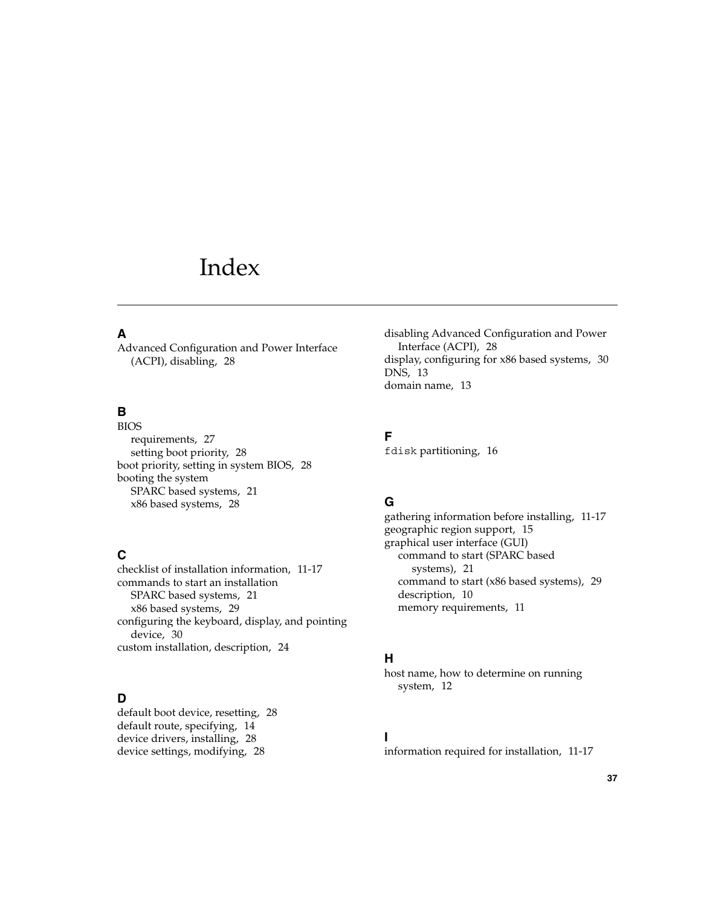# <span id="page-36-0"></span>Index

## **A**

Advanced Configuration and Power Interface (ACPI), disabling, [28](#page-27-0)

## **B**

BIOS requirements, [27](#page-26-0) setting boot priority, [28](#page-27-0) boot priority, setting in system BIOS, [28](#page-27-0) booting the system SPARC based systems, [21](#page-20-0) x86 based systems, [28](#page-27-0)

## **C**

checklist of installation information, [11-17](#page-10-0) commands to start an installation SPARC based systems, [21](#page-20-0) x86 based systems, [29](#page-28-0) configuring the keyboard, display, and pointing device, [30](#page-29-0) custom installation, description, [24](#page-23-0)

## **D**

default boot device, resetting, [28](#page-27-0) default route, specifying, [14](#page-13-0) device drivers, installing, [28](#page-27-0) device settings, modifying, [28](#page-27-0)

disabling Advanced Configuration and Power Interface (ACPI), [28](#page-27-0) display, configuring for x86 based systems, [30](#page-29-0) DNS, [13](#page-12-0) domain name, [13](#page-12-0)

## **F**

fdisk partitioning, [16](#page-15-0)

## **G**

gathering information before installing, [11-17](#page-10-0) geographic region support, [15](#page-14-0) graphical user interface (GUI) command to start (SPARC based systems), [21](#page-20-0) command to start (x86 based systems), [29](#page-28-0) description, [10](#page-9-0) memory requirements, [11](#page-10-0)

## **H**

host name, how to determine on running system, [12](#page-11-0)

## **I**

information required for installation, [11-17](#page-10-0)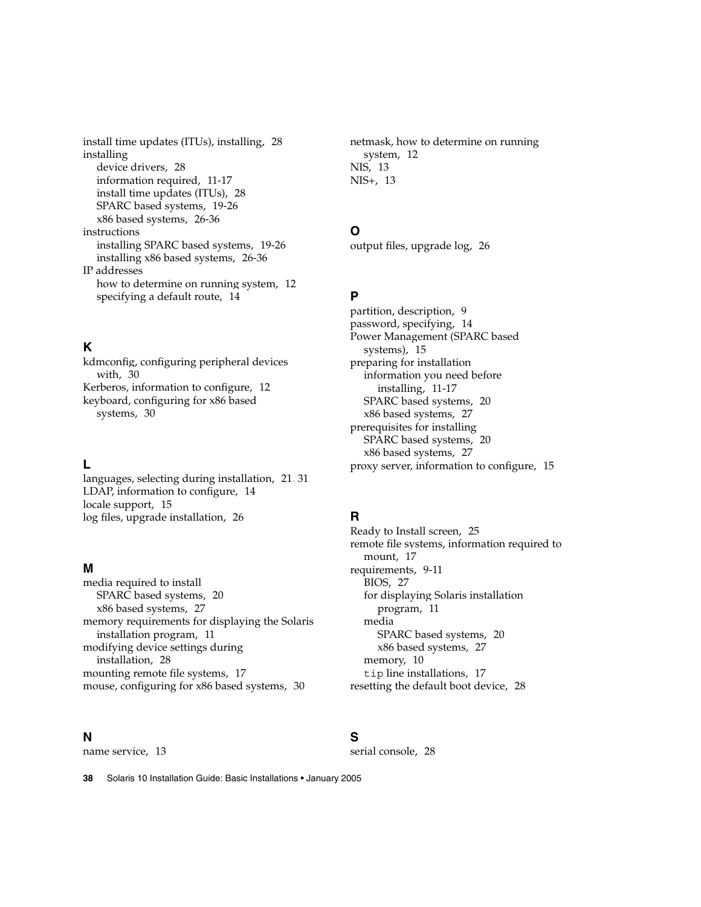install time updates (ITUs), installing, [28](#page-27-0) installing device drivers, [28](#page-27-0) information required, [11-17](#page-10-0) install time updates (ITUs), [28](#page-27-0) SPARC based systems, [19-26](#page-18-0) x86 based systems, [26-36](#page-25-0) instructions installing SPARC based systems, [19-26](#page-18-0) installing x86 based systems, [26-36](#page-25-0) IP addresses how to determine on running system, [12](#page-11-0) specifying a default route, [14](#page-13-0)

## **K**

kdmconfig, configuring peripheral devices with, [30](#page-29-0) Kerberos, information to configure, [12](#page-11-0) keyboard, configuring for x86 based systems, [30](#page-29-0)

## **L**

languages, selecting during installation, [21,](#page-20-0) [31](#page-30-0) LDAP, information to configure, [14](#page-13-0) locale support, [15](#page-14-0) log files, upgrade installation, [26](#page-25-0)

## **M**

media required to install SPARC based systems, [20](#page-19-0) x86 based systems, [27](#page-26-0) memory requirements for displaying the Solaris installation program, [11](#page-10-0) modifying device settings during installation, [28](#page-27-0) mounting remote file systems, [17](#page-16-0) mouse, configuring for x86 based systems, [30](#page-29-0)

## **N**

name service, [13](#page-12-0)

netmask, how to determine on running system, [12](#page-11-0) NIS, [13](#page-12-0) NIS+, [13](#page-12-0)

## **O**

output files, upgrade log, [26](#page-25-0)

## **P**

partition, description, [9](#page-8-0) password, specifying, [14](#page-13-0) Power Management (SPARC based systems), [15](#page-14-0) preparing for installation information you need before installing, [11-17](#page-10-0) SPARC based systems, [20](#page-19-0) x86 based systems, [27](#page-26-0) prerequisites for installing SPARC based systems, [20](#page-19-0) x86 based systems, [27](#page-26-0) proxy server, information to configure, [15](#page-14-0)

## **R**

Ready to Install screen, [25](#page-24-0) remote file systems, information required to mount, [17](#page-16-0) requirements, [9-11](#page-8-0) BIOS, [27](#page-26-0) for displaying Solaris installation program, [11](#page-10-0) media SPARC based systems, [20](#page-19-0) x86 based systems, [27](#page-26-0) memory, [10](#page-9-0) tip line installations, [17](#page-16-0) resetting the default boot device, [28](#page-27-0)

## **S**

serial console, [28](#page-27-0)